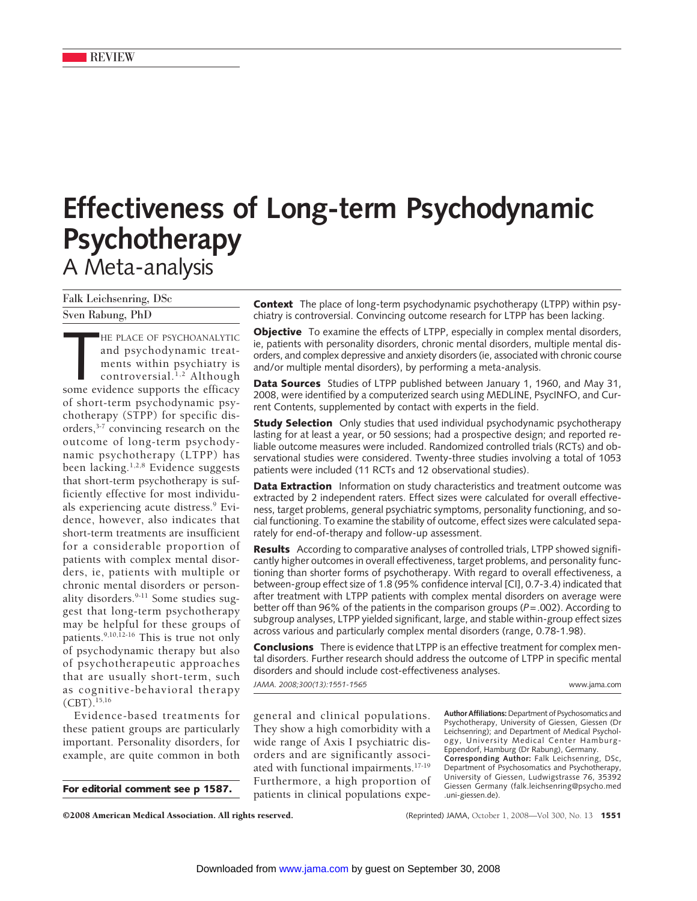# **Effectiveness of Long-term Psychodynamic Psychotherapy** A Meta-analysis

Falk Leichsenring, DSc

Sven Rabung, PhD

HE PLACE OF PSYCHOANALYTIC<br>
and psychodynamic treat-<br>
ments within psychiatry is<br>
controversial.<sup>1,2</sup> Although<br>
some evidence supports the efficacy HE PLACE OF PSYCHOANALYTIC and psychodynamic treatments within psychiatry is controversial.<sup>1,2</sup> Although of short-term psychodynamic psychotherapy (STPP) for specific disorders,<sup>3-7</sup> convincing research on the outcome of long-term psychodynamic psychotherapy (LTPP) has been lacking.1,2,8 Evidence suggests that short-term psychotherapy is sufficiently effective for most individuals experiencing acute distress.9 Evidence, however, also indicates that short-term treatments are insufficient for a considerable proportion of patients with complex mental disorders, ie, patients with multiple or chronic mental disorders or personality disorders.<sup>9-11</sup> Some studies suggest that long-term psychotherapy may be helpful for these groups of patients.9,10,12-16 This is true not only of psychodynamic therapy but also of psychotherapeutic approaches that are usually short-term, such as cognitive-behavioral therapy (CBT).15,16

Evidence-based treatments for these patient groups are particularly important. Personality disorders, for example, are quite common in both

**Context** The place of long-term psychodynamic psychotherapy (LTPP) within psychiatry is controversial. Convincing outcome research for LTPP has been lacking.

**Objective** To examine the effects of LTPP, especially in complex mental disorders, ie, patients with personality disorders, chronic mental disorders, multiple mental disorders, and complex depressive and anxiety disorders (ie, associated with chronic course and/or multiple mental disorders), by performing a meta-analysis.

**Data Sources** Studies of LTPP published between January 1, 1960, and May 31, 2008, were identified by a computerized search using MEDLINE, PsycINFO, and Current Contents, supplemented by contact with experts in the field.

**Study Selection** Only studies that used individual psychodynamic psychotherapy lasting for at least a year, or 50 sessions; had a prospective design; and reported reliable outcome measures were included. Randomized controlled trials (RCTs) and observational studies were considered. Twenty-three studies involving a total of 1053 patients were included (11 RCTs and 12 observational studies).

**Data Extraction** Information on study characteristics and treatment outcome was extracted by 2 independent raters. Effect sizes were calculated for overall effectiveness, target problems, general psychiatric symptoms, personality functioning, and social functioning. To examine the stability of outcome, effect sizes were calculated separately for end-of-therapy and follow-up assessment.

**Results** According to comparative analyses of controlled trials, LTPP showed significantly higher outcomes in overall effectiveness, target problems, and personality functioning than shorter forms of psychotherapy. With regard to overall effectiveness, a between-group effect size of 1.8 (95% confidence interval [CI], 0.7-3.4) indicated that after treatment with LTPP patients with complex mental disorders on average were better off than 96% of the patients in the comparison groups (*P*=.002). According to subgroup analyses, LTPP yielded significant, large, and stable within-group effect sizes across various and particularly complex mental disorders (range, 0.78-1.98).

**Conclusions** There is evidence that LTPP is an effective treatment for complex mental disorders. Further research should address the outcome of LTPP in specific mental disorders and should include cost-effectiveness analyses.

*JAMA. 2008;300(13):1551-1565* www.jama.com

general and clinical populations. They show a high comorbidity with a wide range of Axis I psychiatric disorders and are significantly associated with functional impairments.17-19 Furthermore, a high proportion of **For editorial comment see p 1587.** patients in clinical populations expe-

**Author Affiliations:** Department of Psychosomatics and Psychotherapy, University of Giessen, Giessen (Dr Leichsenring); and Department of Medical Psychology, University Medical Center Hamburg-Eppendorf, Hamburg (Dr Rabung), Germany. **Corresponding Author:** Falk Leichsenring, DSc, Department of Psychosomatics and Psychotherapy, University of Giessen, Ludwigstrasse 76, 35392 Giessen Germany (falk.leichsenring@psycho.med .uni-giessen.de).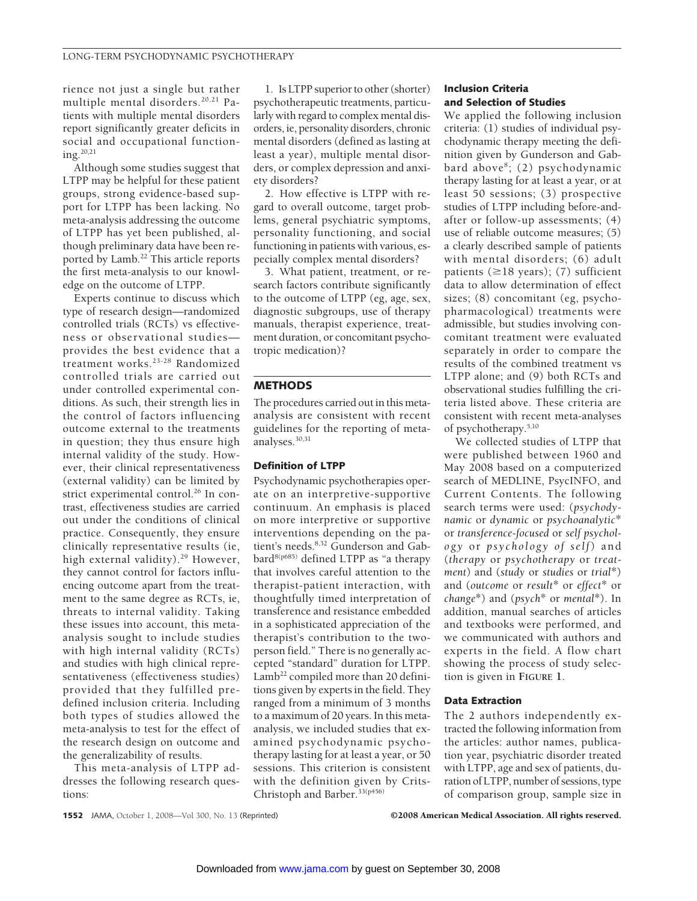rience not just a single but rather multiple mental disorders.20,21 Patients with multiple mental disorders report significantly greater deficits in social and occupational functioning.20,21

Although some studies suggest that LTPP may be helpful for these patient groups, strong evidence-based support for LTPP has been lacking. No meta-analysis addressing the outcome of LTPP has yet been published, although preliminary data have been reported by Lamb.<sup>22</sup> This article reports the first meta-analysis to our knowledge on the outcome of LTPP.

Experts continue to discuss which type of research design—randomized controlled trials (RCTs) vs effectiveness or observational studies provides the best evidence that a treatment works.23-28 Randomized controlled trials are carried out under controlled experimental conditions. As such, their strength lies in the control of factors influencing outcome external to the treatments in question; they thus ensure high internal validity of the study. However, their clinical representativeness (external validity) can be limited by strict experimental control.<sup>26</sup> In contrast, effectiveness studies are carried out under the conditions of clinical practice. Consequently, they ensure clinically representative results (ie, high external validity).<sup>29</sup> However, they cannot control for factors influencing outcome apart from the treatment to the same degree as RCTs, ie, threats to internal validity. Taking these issues into account, this metaanalysis sought to include studies with high internal validity (RCTs) and studies with high clinical representativeness (effectiveness studies) provided that they fulfilled predefined inclusion criteria. Including both types of studies allowed the meta-analysis to test for the effect of the research design on outcome and the generalizability of results.

This meta-analysis of LTPP addresses the following research questions:

1. Is LTPP superior to other (shorter) psychotherapeutic treatments, particularly with regard to complex mental disorders, ie, personality disorders, chronic mental disorders (defined as lasting at least a year), multiple mental disorders, or complex depression and anxiety disorders?

2. How effective is LTPP with regard to overall outcome, target problems, general psychiatric symptoms, personality functioning, and social functioning in patients with various, especially complex mental disorders?

3. What patient, treatment, or research factors contribute significantly to the outcome of LTPP (eg, age, sex, diagnostic subgroups, use of therapy manuals, therapist experience, treatment duration, or concomitant psychotropic medication)?

#### **METHODS**

The procedures carried out in this metaanalysis are consistent with recent guidelines for the reporting of metaanalyses.30,31

## **Definition of LTPP**

Psychodynamic psychotherapies operate on an interpretive-supportive continuum. An emphasis is placed on more interpretive or supportive interventions depending on the patient's needs.<sup>8,32</sup> Gunderson and Gab $bard^{8(p685)}$  defined LTPP as "a therapy that involves careful attention to the therapist-patient interaction, with thoughtfully timed interpretation of transference and resistance embedded in a sophisticated appreciation of the therapist's contribution to the twoperson field." There is no generally accepted "standard" duration for LTPP. Lamb<sup>22</sup> compiled more than 20 definitions given by experts in the field. They ranged from a minimum of 3 months to a maximum of 20 years. In this metaanalysis, we included studies that examined psychodynamic psychotherapy lasting for at least a year, or 50 sessions. This criterion is consistent with the definition given by Crits-Christoph and Barber.33(p456)

# **Inclusion Criteria and Selection of Studies**

We applied the following inclusion criteria: (1) studies of individual psychodynamic therapy meeting the definition given by Gunderson and Gabbard above<sup>8</sup>; (2) psychodynamic therapy lasting for at least a year, or at least 50 sessions; (3) prospective studies of LTPP including before-andafter or follow-up assessments; (4) use of reliable outcome measures; (5) a clearly described sample of patients with mental disorders; (6) adult patients ( $\geq$ 18 years); (7) sufficient data to allow determination of effect sizes; (8) concomitant (eg, psychopharmacological) treatments were admissible, but studies involving concomitant treatment were evaluated separately in order to compare the results of the combined treatment vs LTPP alone; and (9) both RCTs and observational studies fulfilling the criteria listed above. These criteria are consistent with recent meta-analyses of psychotherapy.5,10

We collected studies of LTPP that were published between 1960 and May 2008 based on a computerized search of MEDLINE, PsycINFO, and Current Contents. The following search terms were used: (*psychodynamic* or *dynamic* or *psychoanalytic*\* or *transference-focused* or *self psychology* or *psychology of self*) and (*therapy* or *psychotherapy* or *treatment*) and (*study* or *studies* or *trial*\*) and (*outcome* or *result*\* or *effect*\* or *change*\*) and (*psych*\* or *mental*\*). In addition, manual searches of articles and textbooks were performed, and we communicated with authors and experts in the field. A flow chart showing the process of study selection is given in **FIGURE 1**.

### **Data Extraction**

The 2 authors independently extracted the following information from the articles: author names, publication year, psychiatric disorder treated with LTPP, age and sex of patients, duration of LTPP, number of sessions, type of comparison group, sample size in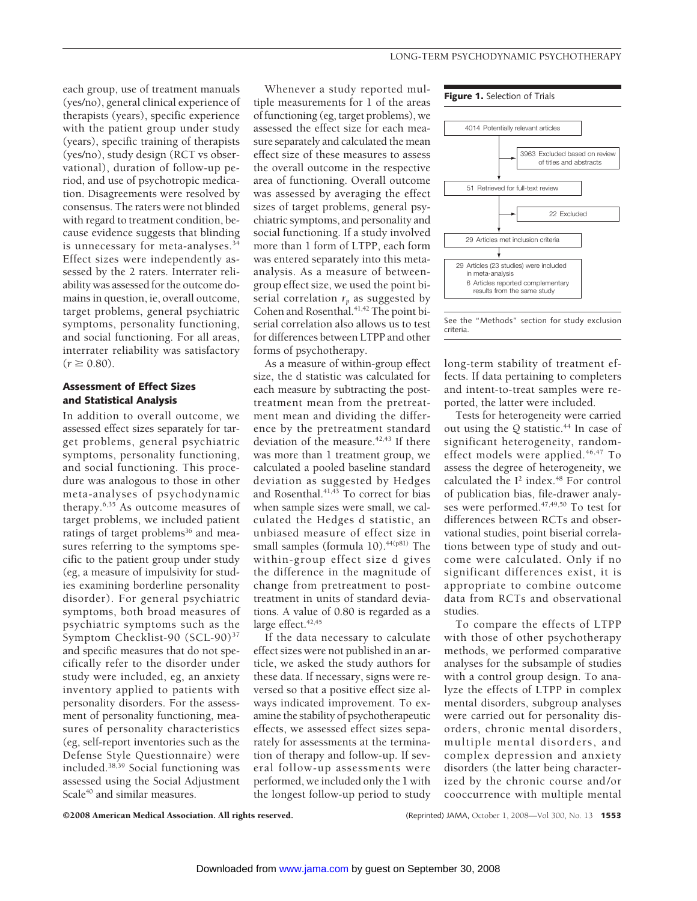each group, use of treatment manuals (yes/no), general clinical experience of therapists (years), specific experience with the patient group under study (years), specific training of therapists (yes/no), study design (RCT vs observational), duration of follow-up period, and use of psychotropic medication. Disagreements were resolved by consensus. The raters were not blinded with regard to treatment condition, because evidence suggests that blinding is unnecessary for meta-analyses.<sup>34</sup> Effect sizes were independently assessed by the 2 raters. Interrater reliability was assessed for the outcome domains in question, ie, overall outcome, target problems, general psychiatric symptoms, personality functioning, and social functioning. For all areas, interrater reliability was satisfactory  $(r \ge 0.80)$ .

# **Assessment of Effect Sizes and Statistical Analysis**

In addition to overall outcome, we assessed effect sizes separately for target problems, general psychiatric symptoms, personality functioning, and social functioning. This procedure was analogous to those in other meta-analyses of psychodynamic therapy.6,35 As outcome measures of target problems, we included patient ratings of target problems<sup>36</sup> and measures referring to the symptoms specific to the patient group under study (eg, a measure of impulsivity for studies examining borderline personality disorder). For general psychiatric symptoms, both broad measures of psychiatric symptoms such as the Symptom Checklist-90 (SCL-90)<sup>37</sup> and specific measures that do not specifically refer to the disorder under study were included, eg, an anxiety inventory applied to patients with personality disorders. For the assessment of personality functioning, measures of personality characteristics (eg, self-report inventories such as the Defense Style Questionnaire) were included.38,39 Social functioning was assessed using the Social Adjustment Scale<sup>40</sup> and similar measures.

Whenever a study reported multiple measurements for 1 of the areas of functioning (eg, target problems), we assessed the effect size for each measure separately and calculated the mean effect size of these measures to assess the overall outcome in the respective area of functioning. Overall outcome was assessed by averaging the effect sizes of target problems, general psychiatric symptoms, and personality and social functioning. If a study involved more than 1 form of LTPP, each form was entered separately into this metaanalysis. As a measure of betweengroup effect size, we used the point biserial correlation  $r_p$  as suggested by Cohen and Rosenthal.41,42 The point biserial correlation also allows us to test for differences between LTPP and other forms of psychotherapy.

As a measure of within-group effect size, the d statistic was calculated for each measure by subtracting the posttreatment mean from the pretreatment mean and dividing the difference by the pretreatment standard deviation of the measure.<sup>42,43</sup> If there was more than 1 treatment group, we calculated a pooled baseline standard deviation as suggested by Hedges and Rosenthal.<sup>41,43</sup> To correct for bias when sample sizes were small, we calculated the Hedges d statistic, an unbiased measure of effect size in small samples (formula 10). $44(p81)$  The within-group effect size d gives the difference in the magnitude of change from pretreatment to posttreatment in units of standard deviations. A value of 0.80 is regarded as a large effect. $42,45$ 

If the data necessary to calculate effect sizes were not published in an article, we asked the study authors for these data. If necessary, signs were reversed so that a positive effect size always indicated improvement. To examine the stability of psychotherapeutic effects, we assessed effect sizes separately for assessments at the termination of therapy and follow-up. If several follow-up assessments were performed, we included only the 1 with the longest follow-up period to study



See the "Methods" section for study exclusion criteria.

long-term stability of treatment effects. If data pertaining to completers and intent-to-treat samples were reported, the latter were included.

Tests for heterogeneity were carried out using the Q statistic.<sup>44</sup> In case of significant heterogeneity, randomeffect models were applied. $46,47$  To assess the degree of heterogeneity, we calculated the  $I^2$  index.<sup>48</sup> For control of publication bias, file-drawer analyses were performed.47,49,50 To test for differences between RCTs and observational studies, point biserial correlations between type of study and outcome were calculated. Only if no significant differences exist, it is appropriate to combine outcome data from RCTs and observational studies.

To compare the effects of LTPP with those of other psychotherapy methods, we performed comparative analyses for the subsample of studies with a control group design. To analyze the effects of LTPP in complex mental disorders, subgroup analyses were carried out for personality disorders, chronic mental disorders, multiple mental disorders, and complex depression and anxiety disorders (the latter being characterized by the chronic course and/or cooccurrence with multiple mental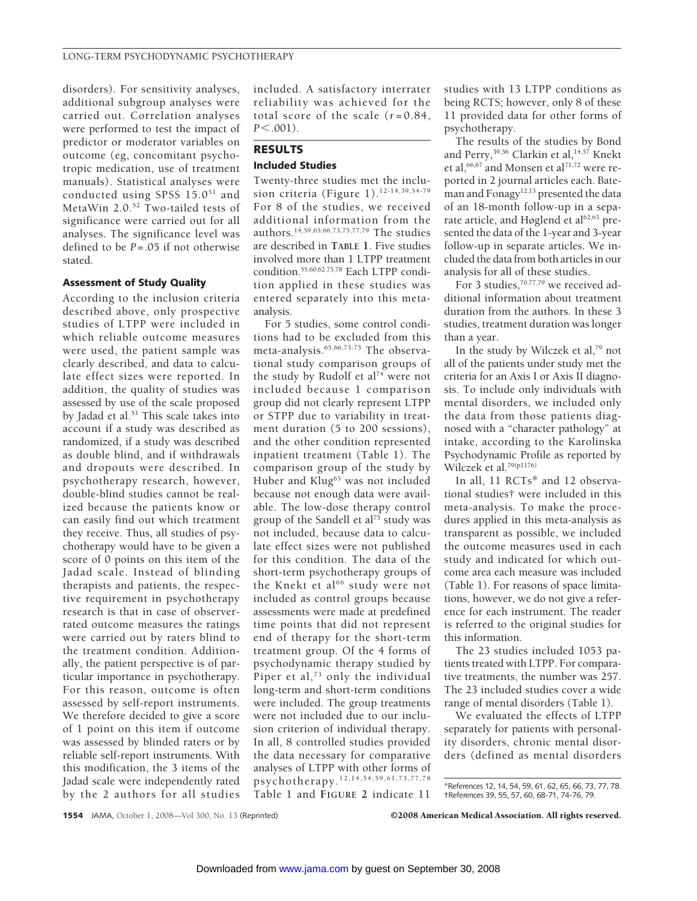disorders). For sensitivity analyses, additional subgroup analyses were carried out. Correlation analyses were performed to test the impact of predictor or moderator variables on outcome (eg, concomitant psychotropic medication, use of treatment manuals). Statistical analyses were conducted using SPSS  $15.0^{51}$  and MetaWin 2.0.52 Two-tailed tests of significance were carried out for all analyses. The significance level was defined to be *P*=.05 if not otherwise stated.

## **Assessment of Study Quality**

According to the inclusion criteria described above, only prospective studies of LTPP were included in which reliable outcome measures were used, the patient sample was clearly described, and data to calculate effect sizes were reported. In addition, the quality of studies was assessed by use of the scale proposed by Jadad et al.<sup>53</sup> This scale takes into account if a study was described as randomized, if a study was described as double blind, and if withdrawals and dropouts were described. In psychotherapy research, however, double-blind studies cannot be realized because the patients know or can easily find out which treatment they receive. Thus, all studies of psychotherapy would have to be given a score of 0 points on this item of the Jadad scale. Instead of blinding therapists and patients, the respective requirement in psychotherapy research is that in case of observerrated outcome measures the ratings were carried out by raters blind to the treatment condition. Additionally, the patient perspective is of particular importance in psychotherapy. For this reason, outcome is often assessed by self-report instruments. We therefore decided to give a score of 1 point on this item if outcome was assessed by blinded raters or by reliable self-report instruments. With this modification, the 3 items of the Jadad scale were independently rated by the 2 authors for all studies

included. A satisfactory interrater reliability was achieved for the total score of the scale  $(r=0.84,$  $P<.001$ ).

# **RESULTS Included Studies**

Twenty-three studies met the inclusion criteria (Figure 1).<sup>12-14,39,54-79</sup> For 8 of the studies, we received additional information from the authors.14,59,65,66,73,75,77,79 The studies are described in **TABLE 1**. Five studies involved more than 1 LTPP treatment condition.55,60,62,75,78 Each LTPP condition applied in these studies was entered separately into this metaanalysis.

For 5 studies, some control conditions had to be excluded from this meta-analysis.65,66,73-75 The observational study comparison groups of the study by Rudolf et al<sup>74</sup> were not included because 1 comparison group did not clearly represent LTPP or STPP due to variability in treatment duration (5 to 200 sessions), and the other condition represented inpatient treatment (Table 1). The comparison group of the study by Huber and Klug<sup>65</sup> was not included because not enough data were available. The low-dose therapy control group of the Sandell et al<sup>75</sup> study was not included, because data to calculate effect sizes were not published for this condition. The data of the short-term psychotherapy groups of the Knekt et al<sup>66</sup> study were not included as control groups because assessments were made at predefined time points that did not represent end of therapy for the short-term treatment group. Of the 4 forms of psychodynamic therapy studied by Piper et al, $73$  only the individual long-term and short-term conditions were included. The group treatments were not included due to our inclusion criterion of individual therapy. In all, 8 controlled studies provided the data necessary for comparative analyses of LTPP with other forms of psychotherapy. 12,14,54,59,61,73,77,78 Table 1 and **FIGURE 2** indicate 11

studies with 13 LTPP conditions as being RCTS; however, only 8 of these 11 provided data for other forms of psychotherapy.

The results of the studies by Bond and Perry,  $39,56$  Clarkin et al,  $14,57$  Knekt et al,<sup>66,67</sup> and Monsen et al<sup>71,72</sup> were reported in 2 journal articles each. Bateman and Fonagy<sup>12,13</sup> presented the data of an 18-month follow-up in a separate article, and Høglend et al<sup>62,63</sup> presented the data of the 1-year and 3-year follow-up in separate articles. We included the data from both articles in our analysis for all of these studies.

For 3 studies,70,77,79 we received additional information about treatment duration from the authors. In these 3 studies, treatment duration was longer than a year.

In the study by Wilczek et al,79 not all of the patients under study met the criteria for an Axis I or Axis II diagnosis. To include only individuals with mental disorders, we included only the data from those patients diagnosed with a "character pathology" at intake, according to the Karolinska Psychodynamic Profile as reported by Wilczek et al.<sup>79(p1176)</sup>

In all, 11 RCTs\* and 12 observational studies† were included in this meta-analysis. To make the procedures applied in this meta-analysis as transparent as possible, we included the outcome measures used in each study and indicated for which outcome area each measure was included (Table 1). For reasons of space limitations, however, we do not give a reference for each instrument. The reader is referred to the original studies for this information.

The 23 studies included 1053 patients treated with LTPP. For comparative treatments, the number was 257. The 23 included studies cover a wide range of mental disorders (Table 1).

We evaluated the effects of LTPP separately for patients with personality disorders, chronic mental disorders (defined as mental disorders

<sup>\*</sup>References 12, 14, 54, 59, 61, 62, 65, 66, 73, 77, 78. †References 39, 55, 57, 60, 68-71, 74-76, 79.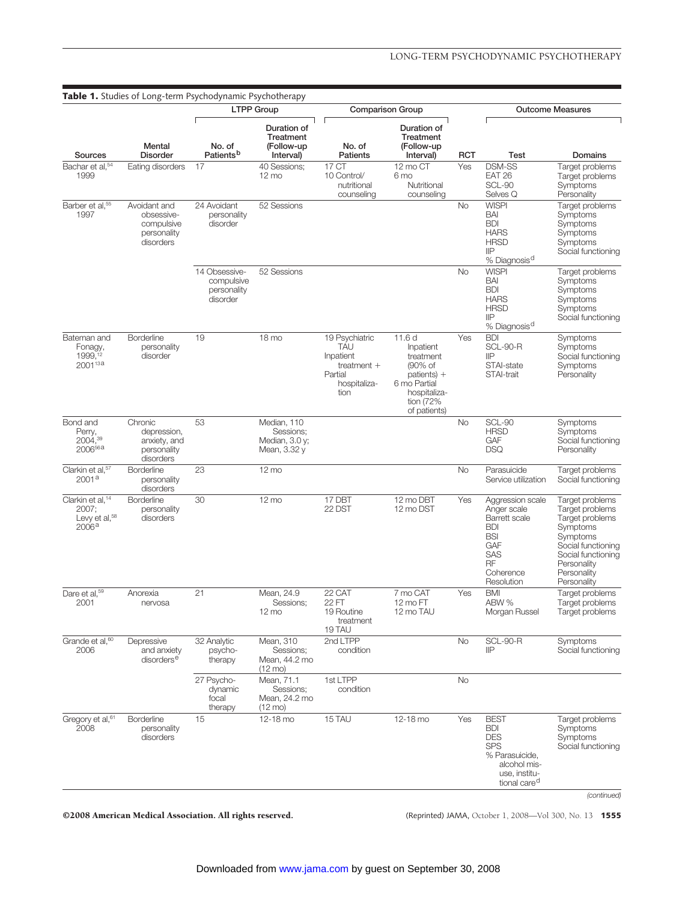# LONG-TERM PSYCHODYNAMIC PSYCHOTHERAPY

|                                                                                         |                                                                      | <b>LTPP Group</b>                                      |                                                              | <b>Comparison Group</b>                                                                |                                                                                                                           |            | <b>Outcome Measures</b>                                                                                                                   |                                                                                                                                                                        |
|-----------------------------------------------------------------------------------------|----------------------------------------------------------------------|--------------------------------------------------------|--------------------------------------------------------------|----------------------------------------------------------------------------------------|---------------------------------------------------------------------------------------------------------------------------|------------|-------------------------------------------------------------------------------------------------------------------------------------------|------------------------------------------------------------------------------------------------------------------------------------------------------------------------|
| Sources                                                                                 | Mental<br><b>Disorder</b>                                            | No. of<br>Patients <sup>b</sup>                        | Duration of<br>Treatment<br>(Follow-up<br>Interval)          | No. of<br><b>Patients</b>                                                              | Duration of<br>Treatment<br>(Follow-up<br>Interval)                                                                       | <b>RCT</b> | Test                                                                                                                                      | Domains                                                                                                                                                                |
| Bachar et al, <sup>54</sup><br>1999                                                     | Eating disorders                                                     | 17                                                     | 40 Sessions;<br>$12 \text{ mo}$                              | 17 CT<br>10 Control/<br>nutritional<br>counseling                                      | 12 mo CT<br>6 mo<br>Nutritional<br>counseling                                                                             | Yes        | DSM-SS<br><b>EAT 26</b><br>SCL-90<br>Selves Q                                                                                             | Target problems<br>Target problems<br>Symptoms<br>Personality                                                                                                          |
| Barber et al, <sup>55</sup><br>1997                                                     | Avoidant and<br>obsessive-<br>compulsive<br>personality<br>disorders | 24 Avoidant<br>personality<br>disorder                 | 52 Sessions                                                  |                                                                                        |                                                                                                                           | <b>No</b>  | <b>WISPI</b><br><b>BAI</b><br><b>BDI</b><br><b>HARS</b><br><b>HRSD</b><br><b>IIP</b><br>% Diagnosis <sup>d</sup>                          | Target problems<br>Symptoms<br>Symptoms<br>Symptoms<br>Symptoms<br>Social functioning                                                                                  |
|                                                                                         |                                                                      | 14 Obsessive-<br>compulsive<br>personality<br>disorder | 52 Sessions                                                  |                                                                                        |                                                                                                                           | <b>No</b>  | <b>WISPI</b><br><b>BAI</b><br><b>BDI</b><br><b>HARS</b><br><b>HRSD</b><br>IIP<br>% Diagnosis <sup>d</sup>                                 | Target problems<br>Symptoms<br>Symptoms<br>Symptoms<br>Symptoms<br>Social functioning                                                                                  |
| Bateman and<br>Fonagy,<br>1999,12<br>2001 <sup>13a</sup>                                | Borderline<br>personality<br>disorder                                | 19                                                     | 18 mo                                                        | 19 Psychiatric<br>TAU<br>Inpatient<br>treatment $+$<br>Partial<br>hospitaliza-<br>tion | 11.6 d<br>Inpatient<br>treatment<br>(90% of<br>patients $)+$<br>6 mo Partial<br>hospitaliza-<br>tion (72%<br>of patients) | Yes        | <b>BDI</b><br>SCL-90-R<br>IIP<br>STAI-state<br>STAI-trait                                                                                 | Symptoms<br>Symptoms<br>Social functioning<br>Symptoms<br>Personality                                                                                                  |
| Bond and<br>Perry,<br>2004, 39<br>2006 <sup>56a</sup>                                   | Chronic<br>depression,<br>anxiety, and<br>personality<br>disorders   | 53                                                     | Median, 110<br>Sessions;<br>Median, 3.0 y;<br>Mean, 3.32 y   |                                                                                        |                                                                                                                           | <b>No</b>  | SCL-90<br><b>HRSD</b><br>GAF<br><b>DSQ</b>                                                                                                | Symptoms<br>Symptoms<br>Social functioning<br>Personality                                                                                                              |
| Clarkin et al, <sup>57</sup><br>2001 <sup>a</sup>                                       | <b>Borderline</b><br>personality<br>disorders                        | 23                                                     | $12 \text{ mo}$                                              |                                                                                        |                                                                                                                           | <b>No</b>  | Parasuicide<br>Service utilization                                                                                                        | Target problems<br>Social functioning                                                                                                                                  |
| Clarkin et al, <sup>14</sup><br>2007:<br>Levy et al, <sup>58</sup><br>2006 <sup>a</sup> | <b>Borderline</b><br>personality<br>disorders                        | 30                                                     | 12 mo                                                        | 17 DBT<br>22 DST                                                                       | 12 mo DBT<br>12 mo DST                                                                                                    | Yes        | Aggression scale<br>Anger scale<br>Barrett scale<br><b>BDI</b><br><b>BSI</b><br><b>GAF</b><br><b>SAS</b><br>RF<br>Coherence<br>Resolution | Target problems<br>Target problems<br>Target problems<br>Symptoms<br>Symptoms<br>Social functioning<br>Social functioning<br>Personality<br>Personality<br>Personality |
| Dare et al, <sup>59</sup><br>2001                                                       | Anorexia<br>nervosa                                                  | 21                                                     | Mean, 24.9<br>Sessions;<br>$12 \text{ mo}$                   | 22 CAT<br>22 FT<br>19 Routine<br>treatment<br>19 TAU                                   | 7 mo CAT<br>12 mo FT<br>12 mo TAU                                                                                         | Yes        | <b>BMI</b><br>ABW %<br>Morgan Russel                                                                                                      | Target problems<br>Target problems<br>Target problems                                                                                                                  |
| Grande et al, <sup>60</sup><br>2006                                                     | Depressive<br>and anxiety<br>disorders <sup>e</sup>                  | 32 Analytic<br>psycho-<br>therapy                      | Mean, 310<br>Sessions;<br>Mean, 44.2 mo<br>$(12 \text{ mo})$ | 2nd LTPP<br>condition                                                                  |                                                                                                                           | <b>No</b>  | SCL-90-R<br>IIP                                                                                                                           | Symptoms<br>Social functioning                                                                                                                                         |
|                                                                                         |                                                                      | 27 Psycho-<br>dynamic<br>focal<br>therapy              | Mean, 71.1<br>Sessions;<br>Mean, 24.2 mo<br>(12 mo)          | 1st LTPP<br>condition                                                                  |                                                                                                                           | <b>No</b>  |                                                                                                                                           |                                                                                                                                                                        |
| Gregory et al, <sup>61</sup><br>2008                                                    | Borderline<br>personality<br>disorders                               | 15                                                     | 12-18 mo                                                     | 15 TAU                                                                                 | 12-18 mo                                                                                                                  | Yes        | <b>BEST</b><br><b>BDI</b><br><b>DES</b><br><b>SPS</b><br>% Parasuicide,<br>alcohol mis-<br>use, institu-<br>tional care <sup>d</sup>      | Target problems<br>Symptoms<br>Symptoms<br>Social functioning                                                                                                          |
|                                                                                         |                                                                      |                                                        |                                                              |                                                                                        |                                                                                                                           |            |                                                                                                                                           | (continued)                                                                                                                                                            |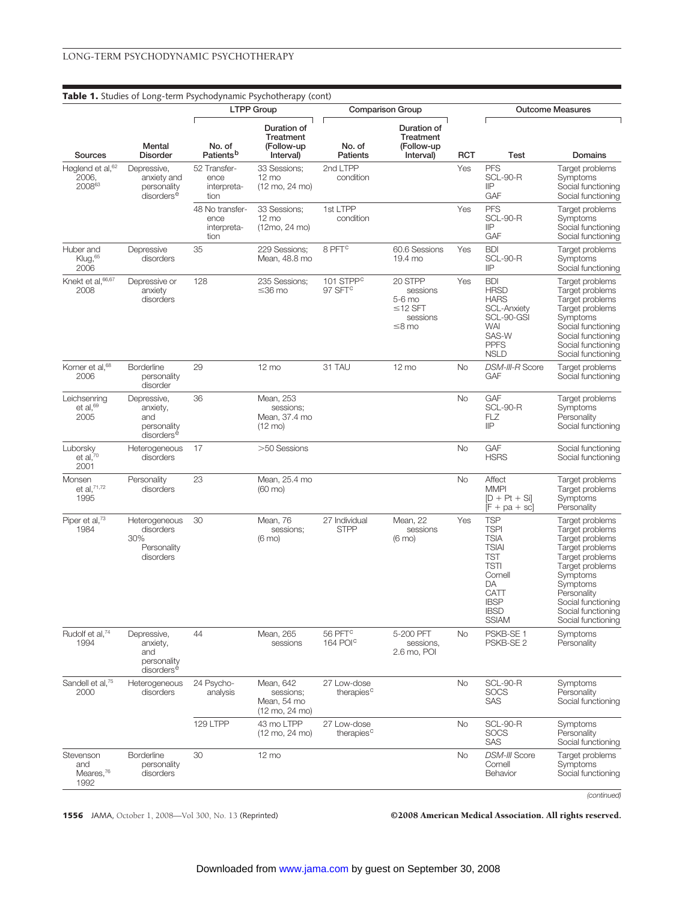# LONG-TERM PSYCHODYNAMIC PSYCHOTHERAPY

|                                           |                                                                         | Table 1. Studies of Long-term Psychodynamic Psychotherapy (cont)<br><b>LTPP Group</b> |                                                              | <b>Comparison Group</b>                      |                                                                       |            | <b>Outcome Measures</b>                                                                                                                                      |                                                                                                                                                                                                                         |
|-------------------------------------------|-------------------------------------------------------------------------|---------------------------------------------------------------------------------------|--------------------------------------------------------------|----------------------------------------------|-----------------------------------------------------------------------|------------|--------------------------------------------------------------------------------------------------------------------------------------------------------------|-------------------------------------------------------------------------------------------------------------------------------------------------------------------------------------------------------------------------|
|                                           |                                                                         |                                                                                       |                                                              |                                              |                                                                       |            |                                                                                                                                                              |                                                                                                                                                                                                                         |
|                                           | Mental                                                                  | No. of<br>Patients <sup>b</sup>                                                       | Duration of<br>Treatment<br>(Follow-up                       | No. of                                       | Duration of<br>Treatment<br>(Follow-up                                |            |                                                                                                                                                              |                                                                                                                                                                                                                         |
| Sources                                   | <b>Disorder</b>                                                         |                                                                                       | Interval)                                                    | <b>Patients</b>                              | Interval)                                                             | <b>RCT</b> | Test                                                                                                                                                         | Domains                                                                                                                                                                                                                 |
| Høglend et al, 62<br>2006,<br>200863      | Depressive,<br>anxiety and<br>personality<br>disorders <sup>e</sup>     | 52 Transfer-<br>ence<br>interpreta-<br>tion                                           | 33 Sessions;<br>$12 \text{ mo}$<br>(12 mo, 24 mo)            | 2nd LTPP<br>condition                        |                                                                       | Yes        | <b>PFS</b><br>SCL-90-R<br>IIP<br>GAF                                                                                                                         | Target problems<br>Symptoms<br>Social functioning<br>Social functioning                                                                                                                                                 |
|                                           |                                                                         | 48 No transfer-<br>ence<br>interpreta-<br>tion                                        | 33 Sessions;<br>12 mo<br>(12mo, 24 mo)                       | 1st LTPP<br>condition                        |                                                                       | Yes        | <b>PFS</b><br>SCL-90-R<br>IIP<br><b>GAF</b>                                                                                                                  | Target problems<br>Symptoms<br>Social functioning<br>Social functioning                                                                                                                                                 |
| Huber and<br>Klug, 65<br>2006             | Depressive<br>disorders                                                 | 35                                                                                    | 229 Sessions;<br>Mean, 48.8 mo                               | 8 PFT <sup>c</sup>                           | 60.6 Sessions<br>19.4 mo                                              | Yes        | <b>BDI</b><br>SCL-90-R<br>HP                                                                                                                                 | Target problems<br>Symptoms<br>Social functioning                                                                                                                                                                       |
| Knekt et al, 66,67<br>2008                | Depressive or<br>anxiety<br>disorders                                   | 128                                                                                   | 235 Sessions;<br>$≤36$ mo                                    | 101 STPP <sup>c</sup><br>97 SFT <sup>c</sup> | 20 STPP<br>sessions<br>5-6 mo<br>$\leq$ 12 SFT<br>sessions<br>$≤8$ mo | Yes        | <b>BDI</b><br><b>HRSD</b><br><b>HARS</b><br><b>SCL-Anxiety</b><br>SCL-90-GSI<br><b>WAI</b><br>SAS-W<br><b>PPFS</b><br><b>NSLD</b>                            | Target problems<br>Target problems<br>Target problems<br>Target problems<br>Symptoms<br>Social functioning<br>Social functioning<br>Social functioning<br>Social functioning                                            |
| Korner et al, <sup>68</sup><br>2006       | Borderline<br>personality<br>disorder                                   | 29                                                                                    | $12 \text{ mo}$                                              | 31 TAU                                       | $12 \text{ mo}$                                                       | No         | DSM-III-R Score<br>GAF                                                                                                                                       | Target problems<br>Social functioning                                                                                                                                                                                   |
| Leichsenring<br>et al, $69$<br>2005       | Depressive,<br>anxiety,<br>and<br>personality<br>disorders <sup>e</sup> | 36                                                                                    | Mean, 253<br>sessions;<br>Mean, 37.4 mo<br>$(12 \text{ mo})$ |                                              |                                                                       | No         | <b>GAF</b><br>SCL-90-R<br><b>FLZ</b><br>IIP                                                                                                                  | Target problems<br>Symptoms<br>Personality<br>Social functioning                                                                                                                                                        |
| Luborsky<br>et al, $70$<br>2001           | Heterogeneous<br>disorders                                              | 17                                                                                    | $>50$ Sessions                                               |                                              |                                                                       | No         | <b>GAF</b><br><b>HSRS</b>                                                                                                                                    | Social functioning<br>Social functioning                                                                                                                                                                                |
| Monsen<br>et al, $71,72$<br>1995          | Personality<br>disorders                                                | 23                                                                                    | Mean, 25.4 mo<br>$(60 \text{ mo})$                           |                                              |                                                                       | No         | Affect<br><b>MMPI</b><br>$[D + Pt + Si]$<br>$[F + pa + sc]$                                                                                                  | Target problems<br>Target problems<br>Symptoms<br>Personality                                                                                                                                                           |
| Piper et al, <sup>73</sup><br>1984        | Heterogeneous<br>disorders<br>30%<br>Personality<br>disorders           | 30                                                                                    | Mean, 76<br>sessions;<br>(6 mo)                              | 27 Individual<br><b>STPP</b>                 | Mean, 22<br>sessions<br>$(6 \text{ mo})$                              | Yes        | <b>TSP</b><br><b>TSPI</b><br><b>TSIA</b><br><b>TSIAI</b><br><b>TST</b><br><b>TSTI</b><br>Cornell<br>DA<br>CATT<br><b>IBSP</b><br><b>IBSD</b><br><b>SSIAM</b> | Target problems<br>Target problems<br>Target problems<br>Target problems<br>Target problems<br>Target problems<br>Symptoms<br>Symptoms<br>Personality<br>Social functioning<br>Social functioning<br>Social functioning |
| Rudolf et al. <sup>74</sup><br>1994       | Depressive,<br>anxiety,<br>and<br>personality<br>disorders <sup>e</sup> | 44                                                                                    | Mean, 265<br>sessions                                        | 56 PFT <sup>c</sup><br>164 POI <sup>c</sup>  | 5-200 PFT<br>sessions,<br>2.6 mo, POI                                 | <b>No</b>  | PSKB-SE1<br>PSKB-SE <sub>2</sub>                                                                                                                             | Symptoms<br>Personality                                                                                                                                                                                                 |
| Sandell et al, <sup>75</sup><br>2000      | Heterogeneous<br>disorders                                              | 24 Psycho-<br>analysis                                                                | Mean, 642<br>sessions;<br>Mean, 54 mo<br>(12 mo, 24 mo)      | 27 Low-dose<br>therapies <sup>c</sup>        |                                                                       | <b>No</b>  | SCL-90-R<br><b>SOCS</b><br><b>SAS</b>                                                                                                                        | Symptoms<br>Personality<br>Social functioning                                                                                                                                                                           |
|                                           |                                                                         | 129 LTPP                                                                              | 43 mo LTPP<br>(12 mo, 24 mo)                                 | 27 Low-dose<br>therapies <sup>c</sup>        |                                                                       | <b>No</b>  | SCL-90-R<br><b>SOCS</b><br><b>SAS</b>                                                                                                                        | Symptoms<br>Personality<br>Social functioning                                                                                                                                                                           |
| Stevenson<br>and<br>Meares, <sup>76</sup> | <b>Borderline</b><br>personality<br>disorders                           | 30                                                                                    | $12 \text{ mo}$                                              |                                              |                                                                       | No         | <b>DSM-III Score</b><br>Cornell<br>Behavior                                                                                                                  | Target problems<br>Symptoms<br>Social functioning                                                                                                                                                                       |
| 1992                                      |                                                                         |                                                                                       |                                                              |                                              |                                                                       |            |                                                                                                                                                              | (continued)                                                                                                                                                                                                             |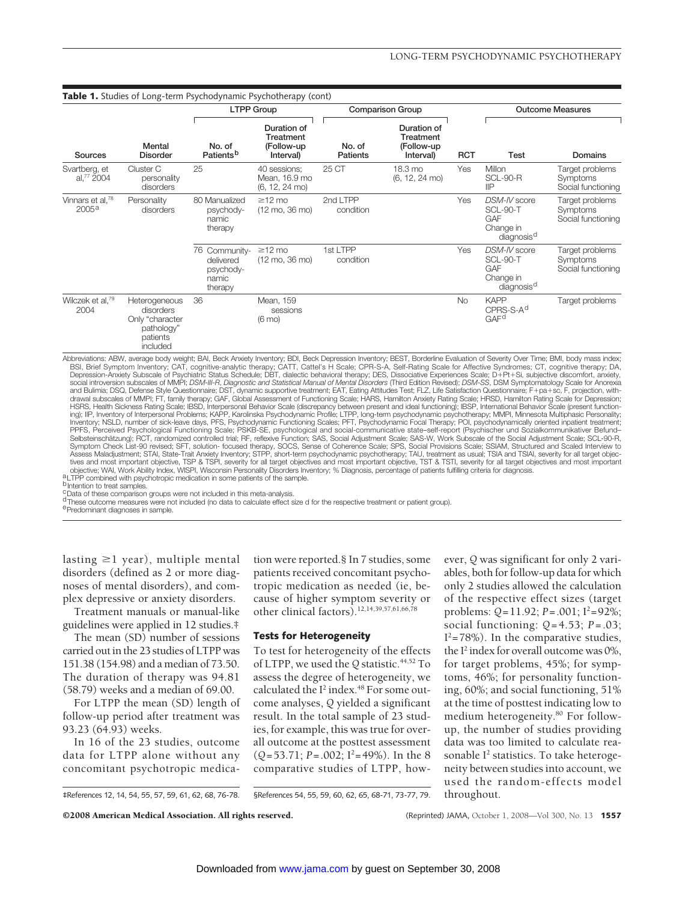|                                                   | <b>Table 1.</b> Studies of Long-term Psychodynamic Psychotherapy (cont)             |                                                             |                                                            |                         |                                                            |            |                                                                               |                                                   |
|---------------------------------------------------|-------------------------------------------------------------------------------------|-------------------------------------------------------------|------------------------------------------------------------|-------------------------|------------------------------------------------------------|------------|-------------------------------------------------------------------------------|---------------------------------------------------|
|                                                   |                                                                                     | <b>LTPP Group</b>                                           |                                                            | <b>Comparison Group</b> |                                                            |            | <b>Outcome Measures</b>                                                       |                                                   |
| Sources                                           | Mental<br><b>Disorder</b>                                                           | No. of<br>Patients <sup>b</sup>                             | Duration of<br><b>Treatment</b><br>(Follow-up<br>Interval) | No. of<br>Patients      | Duration of<br><b>Treatment</b><br>(Follow-up<br>Interval) | <b>RCT</b> | <b>Test</b>                                                                   | Domains                                           |
| Svartberg, et<br>al, <sup>77</sup> 2004           | Cluster C<br>personality<br>disorders                                               | 25                                                          | 40 sessions;<br>Mean, 16.9 mo<br>$(6, 12, 24 \text{ mo})$  | 25 CT                   | 18.3 mo<br>$(6, 12, 24 \text{ mo})$                        | Yes        | Millon<br>SCL-90-R<br>IIP                                                     | Target problems<br>Symptoms<br>Social functioning |
| Vinnars et al. <sup>78</sup><br>2005 <sup>a</sup> | Personality<br>disorders                                                            | 80 Manualized<br>psychody-<br>namic<br>therapy              | $\geq$ 12 mo<br>$(12 \text{ mo}, 36 \text{ mo})$           | 2nd LTPP<br>condition   |                                                            | Yes        | DSM-IV score<br>SCL-90-T<br><b>GAF</b><br>Change in<br>diagnosis <sup>d</sup> | Target problems<br>Symptoms<br>Social functioning |
|                                                   |                                                                                     | 76 Community-<br>delivered<br>psychody-<br>namic<br>therapy | $\geq$ 12 mo<br>$(12 \text{ mo}, 36 \text{ mo})$           | 1st LTPP<br>condition   |                                                            | Yes        | DSM-IV score<br>SCL-90-T<br><b>GAF</b><br>Change in<br>diagnosis <sup>d</sup> | Target problems<br>Symptoms<br>Social functioning |
| Wilczek et al, <sup>79</sup><br>2004              | Heterogeneous<br>disorders<br>Only "character<br>pathology"<br>patients<br>included | 36                                                          | Mean, 159<br>sessions<br>$(6 \text{ mo})$                  |                         |                                                            | <b>No</b>  | <b>KAPP</b><br>CPRS-S-A <sup>d</sup><br>GAF <sup>d</sup>                      | Target problems                                   |

Abbreviations: ABW, average body weight; BAI, Beck Anxiety Inventory; BDI, Beck Depression Inventory; BEST, Borderline Evaluation of Severity Over Time; BMI, body mass index;<br>BSI, Brief Symptom Inventory; CAT, cognitive-an social introversion subscales of MMPI; *DSM-III-R, Diagnostic and Statistical Manual of Mental Disorders* (Third Edition Revised); *DSM-SS,* DSM Symptomatology Scale for Anorexia<br>and Bulimia; DSQ, Defense Style Questionnai HSRS, Health Sickness Rating Scale; IBSD, Interpersonal Behavior Scale (discrepancy between present and ideal functioning); IBSP, International Behavior Scale (present function-<br>ing); IIP, Inventory of Interpersonal Proble Inventory; NSLD, number of sick-leave days, PFS, Psychodynamic Functioning Scales; PFT, Psychodynamic Focal Therapy; POI, psychodynamically oriented inpatient treatment;<br>PPFS, Perceived Psychological Functioning Scale; PSK Symptom Check List-90 revised; SFT, solution- focused therapy, SOCS, Sense of Coherence Scale; SPS, Social Provisions Scale; SSIAM, Structured and Scaled Interview to<br>Assess Maladjustment; STAI, State-Trait Anxiety Invento objective; WAI, Work Ability Index, WISPI, Wisconsin Personality Disorders Inventory; % Diagnosis, percentage of patients fulfilling criteria for diagnosis.<br><sup>a</sup>LTPP combined with psychotropic medication in some patients of

b<sub>Intention to treat samples</sub>

c member is a set set present comparison groups were not included in this meta-analysis.

dThese outcome measures were not included (no data to calculate effect size d for the respective treatment or patient group).

ePredominant diagnoses in sample.

lasting  $\geq 1$  year), multiple mental disorders (defined as 2 or more diagnoses of mental disorders), and complex depressive or anxiety disorders.

Treatment manuals or manual-like guidelines were applied in 12 studies.‡

The mean (SD) number of sessions carried out in the 23 studies of LTPP was 151.38 (154.98) and a median of 73.50. The duration of therapy was 94.81 (58.79) weeks and a median of 69.00.

For LTPP the mean (SD) length of follow-up period after treatment was 93.23 (64.93) weeks.

In 16 of the 23 studies, outcome data for LTPP alone without any concomitant psychotropic medication were reported.§ In 7 studies, some patients received concomitant psychotropic medication as needed (ie, because of higher symptom severity or other clinical factors).12,14,39,57,61,66,78

#### **Tests for Heterogeneity**

To test for heterogeneity of the effects of LTPP, we used the *Q* statistic.44,52 To assess the degree of heterogeneity, we calculated the  $I^2$  index.<sup>48</sup> For some outcome analyses, *Q* yielded a significant result. In the total sample of 23 studies, for example, this was true for overall outcome at the posttest assessment (*Q*=53.71; *P*=.002; I2=49%). In the 8 comparative studies of LTPP, how-

ever, *Q* was significant for only 2 variables, both for follow-up data for which only 2 studies allowed the calculation of the respective effect sizes (target problems: *Q*=11.92; *P*=.001; I2=92%; social functioning: *Q*=4.53; *P*=.03;  $I^2$ =78%). In the comparative studies, the  $I^2$  index for overall outcome was  $0\%$ , for target problems, 45%; for symptoms, 46%; for personality functioning, 60%; and social functioning, 51% at the time of posttest indicating low to medium heterogeneity.80 For followup, the number of studies providing data was too limited to calculate reasonable  $I^2$  statistics. To take heterogeneity between studies into account, we used the random-effects model ‡References 12, 14, 54, 55, 57, 59, 61, 62, 68, 76-78. §References 54, 55, 59, 60, 62, 65, 68-71, 73-77, 79. throughout.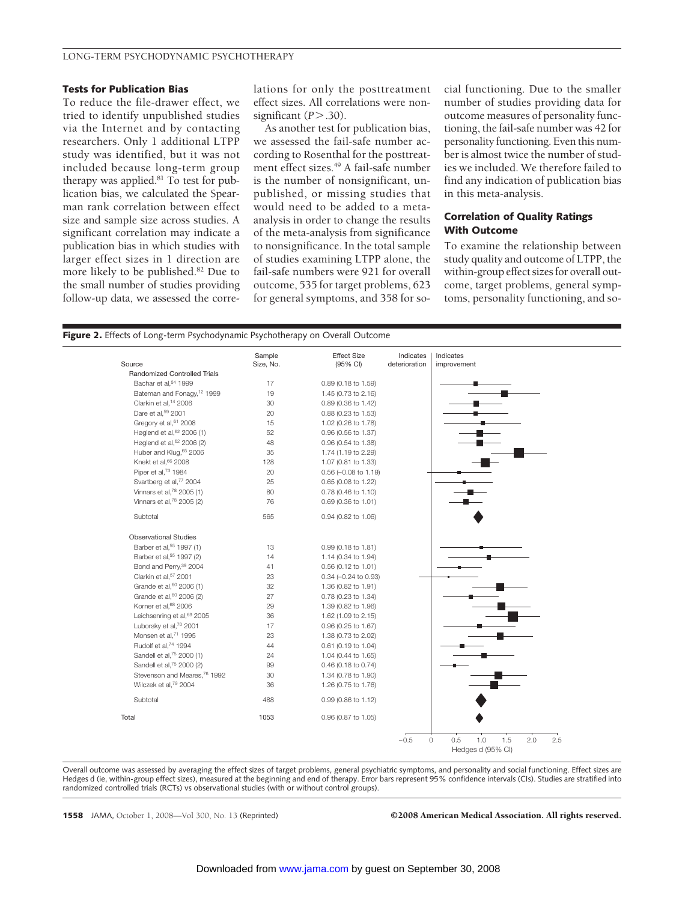#### **Tests for Publication Bias**

To reduce the file-drawer effect, we tried to identify unpublished studies via the Internet and by contacting researchers. Only 1 additional LTPP study was identified, but it was not included because long-term group therapy was applied.81 To test for publication bias, we calculated the Spearman rank correlation between effect size and sample size across studies. A significant correlation may indicate a publication bias in which studies with larger effect sizes in 1 direction are more likely to be published.<sup>82</sup> Due to the small number of studies providing follow-up data, we assessed the correlations for only the posttreatment effect sizes. All correlations were nonsignificant  $(P > .30)$ .

As another test for publication bias, we assessed the fail-safe number according to Rosenthal for the posttreatment effect sizes.<sup>49</sup> A fail-safe number is the number of nonsignificant, unpublished, or missing studies that would need to be added to a metaanalysis in order to change the results of the meta-analysis from significance to nonsignificance. In the total sample of studies examining LTPP alone, the fail-safe numbers were 921 for overall outcome, 535 for target problems, 623 for general symptoms, and 358 for so-

cial functioning. Due to the smaller number of studies providing data for outcome measures of personality functioning, the fail-safe number was 42 for personality functioning. Even this number is almost twice the number of studies we included. We therefore failed to find any indication of publication bias in this meta-analysis.

# **Correlation of Quality Ratings With Outcome**

To examine the relationship between study quality and outcome of LTPP, the within-group effect sizes for overall outcome, target problems, general symptoms, personality functioning, and so-



Overall outcome was assessed by averaging the effect sizes of target problems, general psychiatric symptoms, and personality and social functioning. Effect sizes are Hedges d (ie, within-group effect sizes), measured at the beginning and end of therapy. Error bars represent 95% confidence intervals (CIs). Studies are stratified into randomized controlled trials (RCTs) vs observational studies (with or without control groups).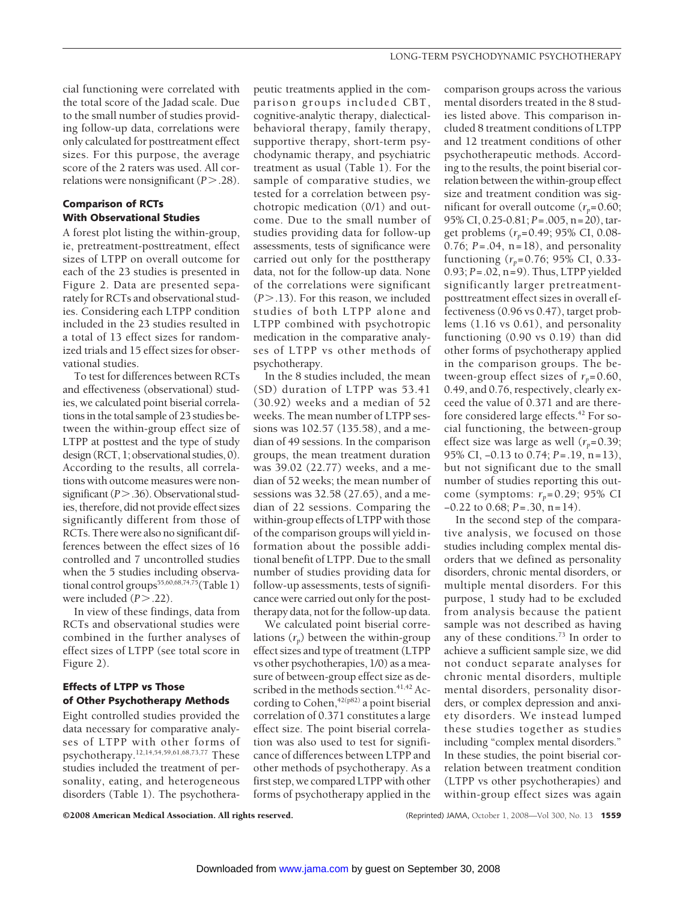cial functioning were correlated with the total score of the Jadad scale. Due to the small number of studies providing follow-up data, correlations were only calculated for posttreatment effect sizes. For this purpose, the average score of the 2 raters was used. All correlations were nonsignificant (*P* $> 0.28$ ).

# **Comparison of RCTs With Observational Studies**

A forest plot listing the within-group, ie, pretreatment-posttreatment, effect sizes of LTPP on overall outcome for each of the 23 studies is presented in Figure 2. Data are presented separately for RCTs and observational studies. Considering each LTPP condition included in the 23 studies resulted in a total of 13 effect sizes for randomized trials and 15 effect sizes for observational studies.

To test for differences between RCTs and effectiveness (observational) studies, we calculated point biserial correlations in the total sample of 23 studies between the within-group effect size of LTPP at posttest and the type of study design (RCT, 1; observational studies, 0). According to the results, all correlations with outcome measures were nonsignificant ( $P$ >.36). Observational studies, therefore, did not provide effect sizes significantly different from those of RCTs. There were also no significant differences between the effect sizes of 16 controlled and 7 uncontrolled studies when the 5 studies including observational control groups<sup>55,60,68,74,75</sup>(Table 1) were included  $(P > .22)$ .

In view of these findings, data from RCTs and observational studies were combined in the further analyses of effect sizes of LTPP (see total score in Figure 2).

# **Effects of LTPP vs Those of Other Psychotherapy Methods**

Eight controlled studies provided the data necessary for comparative analyses of LTPP with other forms of psychotherapy.12,14,54,59,61,68,73,77 These studies included the treatment of personality, eating, and heterogeneous disorders (Table 1). The psychotherapeutic treatments applied in the comparison groups included CBT, cognitive-analytic therapy, dialecticalbehavioral therapy, family therapy, supportive therapy, short-term psychodynamic therapy, and psychiatric treatment as usual (Table 1). For the sample of comparative studies, we tested for a correlation between psychotropic medication (0/1) and outcome. Due to the small number of studies providing data for follow-up assessments, tests of significance were carried out only for the posttherapy data, not for the follow-up data. None of the correlations were significant  $(P > .13)$ . For this reason, we included studies of both LTPP alone and LTPP combined with psychotropic medication in the comparative analyses of LTPP vs other methods of psychotherapy.

In the 8 studies included, the mean (SD) duration of LTPP was 53.41 (30.92) weeks and a median of 52 weeks. The mean number of LTPP sessions was 102.57 (135.58), and a median of 49 sessions. In the comparison groups, the mean treatment duration was 39.02 (22.77) weeks, and a median of 52 weeks; the mean number of sessions was 32.58 (27.65), and a median of 22 sessions. Comparing the within-group effects of LTPP with those of the comparison groups will yield information about the possible additional benefit of LTPP. Due to the small number of studies providing data for follow-up assessments, tests of significance were carried out only for the posttherapy data, not for the follow-up data.

We calculated point biserial correlations  $(r_p)$  between the within-group effect sizes and type of treatment (LTPP vs other psychotherapies, 1/0) as a measure of between-group effect size as described in the methods section.<sup>41,42</sup> According to Cohen,<sup>42(p82)</sup> a point biserial correlation of 0.371 constitutes a large effect size. The point biserial correlation was also used to test for significance of differences between LTPP and other methods of psychotherapy. As a first step, we compared LTPP with other forms of psychotherapy applied in the

comparison groups across the various mental disorders treated in the 8 studies listed above. This comparison included 8 treatment conditions of LTPP and 12 treatment conditions of other psychotherapeutic methods. According to the results, the point biserial correlation between the within-group effect size and treatment condition was significant for overall outcome  $(r_p=0.60)$ ; 95% CI, 0.25-0.81; *P*=.005, n=20), target problems (*rp*=0.49; 95% CI, 0.08- 0.76; *P*=.04, n=18), and personality functioning  $(r_p=0.76; 95\% \text{ CI}, 0.33-$ 0.93; *P*=.02, n=9). Thus, LTPP yielded significantly larger pretreatmentposttreatment effect sizes in overall effectiveness (0.96 vs 0.47), target problems (1.16 vs 0.61), and personality functioning (0.90 vs 0.19) than did other forms of psychotherapy applied in the comparison groups. The between-group effect sizes of  $r_p = 0.60$ , 0.49, and 0.76, respectively, clearly exceed the value of 0.371 and are therefore considered large effects.<sup>42</sup> For social functioning, the between-group effect size was large as well  $(r_p=0.39)$ ; 95% CI, −0.13 to 0.74; *P*=.19, n=13), but not significant due to the small number of studies reporting this outcome (symptoms:  $r_p = 0.29$ ; 95% CI −0.22 to 0.68; *P*=.30, n=14).

In the second step of the comparative analysis, we focused on those studies including complex mental disorders that we defined as personality disorders, chronic mental disorders, or multiple mental disorders. For this purpose, 1 study had to be excluded from analysis because the patient sample was not described as having any of these conditions.73 In order to achieve a sufficient sample size, we did not conduct separate analyses for chronic mental disorders, multiple mental disorders, personality disorders, or complex depression and anxiety disorders. We instead lumped these studies together as studies including "complex mental disorders." In these studies, the point biserial correlation between treatment condition (LTPP vs other psychotherapies) and within-group effect sizes was again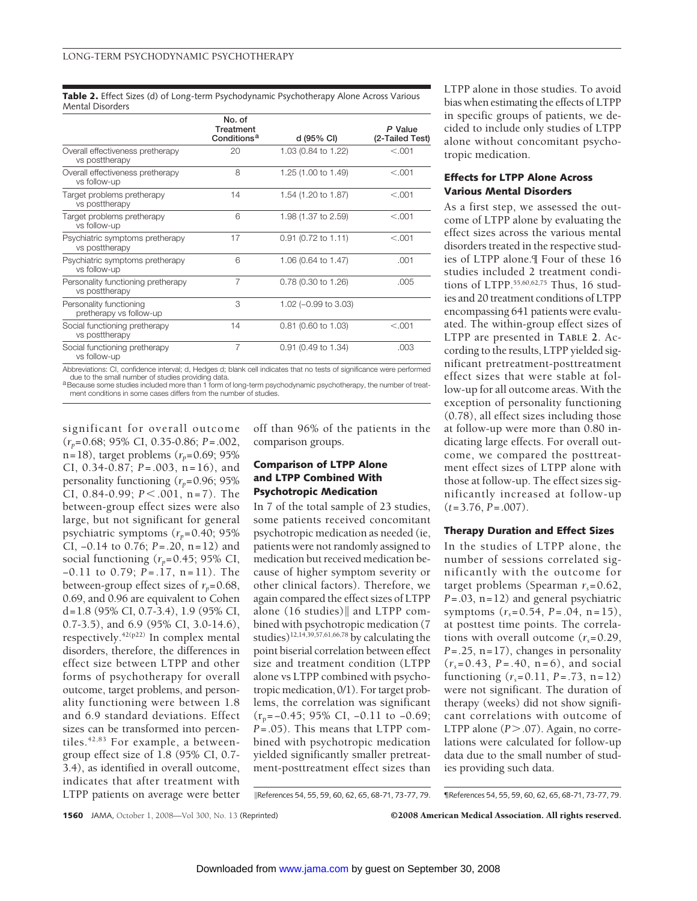**Table 2.** Effect Sizes (d) of Long-term Psychodynamic Psychotherapy Alone Across Various Mental Disorders

|                                                      | No. of<br><b>Treatment</b><br>Conditions <sup>a</sup> | d (95% CI)            | P Value<br>(2-Tailed Test) |
|------------------------------------------------------|-------------------------------------------------------|-----------------------|----------------------------|
| Overall effectiveness pretherapy<br>vs posttherapy   | 20                                                    | 1.03 (0.84 to 1.22)   | < 0.001                    |
| Overall effectiveness pretherapy<br>vs follow-up     | 8                                                     | 1.25 (1.00 to 1.49)   | < 0.001                    |
| Target problems pretherapy<br>vs posttherapy         | 14                                                    | 1.54 (1.20 to 1.87)   | < 0.01                     |
| Target problems pretherapy<br>vs follow-up           | 6                                                     | 1.98 (1.37 to 2.59)   | < 0.01                     |
| Psychiatric symptoms pretherapy<br>vs posttherapy    | 17                                                    | $0.91$ (0.72 to 1.11) | < 0.01                     |
| Psychiatric symptoms pretherapy<br>vs follow-up      | 6                                                     | 1.06 (0.64 to 1.47)   | .001                       |
| Personality functioning pretherapy<br>vs posttherapy | 7                                                     | 0.78 (0.30 to 1.26)   | .005                       |
| Personality functioning<br>pretherapy vs follow-up   | 3                                                     | 1.02 (-0.99 to 3.03)  |                            |
| Social functioning pretherapy<br>vs posttherapy      | 14                                                    | 0.81 (0.60 to 1.03)   | < 0.001                    |
| Social functioning pretherapy<br>vs follow-up        | 7                                                     | 0.91 (0.49 to 1.34)   | .003                       |

Abbreviations: CI, confidence interval; d, Hedges d; blank cell indicates that no tests of significance were performed<br>due to the small number of studies providing data.

a Because some studies included more than 1 form of long-term psychodynamic psychotherapy, the number of treatment conditions in some cases differs from the number of studies.

significant for overall outcome (*rp*=0.68; 95% CI, 0.35-0.86; *P*=.002, n=18), target problems ( $r_p$ =0.69; 95%) CI, 0.34-0.87; *P*=.003, n=16), and personality functioning  $(r_p=0.96; 95\%)$ CI, 0.84-0.99;  $P < .001$ , n=7). The between-group effect sizes were also large, but not significant for general psychiatric symptoms  $(r_p=0.40; 95\%)$ CI, −0.14 to 0.76; *P*=.20, n=12) and social functioning  $(r_p=0.45; 95\% \text{ CI},$ −0.11 to 0.79; *P* =.17, n=11). The between-group effect sizes of  $r_p = 0.68$ , 0.69, and 0.96 are equivalent to Cohen d=1.8 (95% CI, 0.7-3.4), 1.9 (95% CI, 0.7-3.5), and 6.9 (95% CI, 3.0-14.6), respectively.<sup>42(p22)</sup> In complex mental disorders, therefore, the differences in effect size between LTPP and other forms of psychotherapy for overall outcome, target problems, and personality functioning were between 1.8 and 6.9 standard deviations. Effect sizes can be transformed into percentiles.<sup>42,83</sup> For example, a betweengroup effect size of 1.8 (95% CI, 0.7- 3.4), as identified in overall outcome, indicates that after treatment with LTPP patients on average were better

off than 96% of the patients in the comparison groups.

## **Comparison of LTPP Alone and LTPP Combined With Psychotropic Medication**

In 7 of the total sample of 23 studies, some patients received concomitant psychotropic medication as needed (ie, patients were not randomly assigned to medication but received medication because of higher symptom severity or other clinical factors). Therefore, we again compared the effect sizes of LTPP alone (16 studies)  $\parallel$  and LTPP combined with psychotropic medication (7 studies)<sup>12,14,39,57,61,66,78</sup> by calculating the point biserial correlation between effect size and treatment condition (LTPP alone vs LTPP combined with psychotropic medication, 0/1). For target problems, the correlation was significant  $(r_p = -0.45; 95\% \text{ CI}, -0.11 \text{ to } -0.69;$ *P*=.05). This means that LTPP combined with psychotropic medication yielded significantly smaller pretreatment-posttreatment effect sizes than

LTPP alone in those studies. To avoid bias when estimating the effects of LTPP in specific groups of patients, we decided to include only studies of LTPP alone without concomitant psychotropic medication.

# **Effects for LTPP Alone Across Various Mental Disorders**

As a first step, we assessed the outcome of LTPP alone by evaluating the effect sizes across the various mental disorders treated in the respective studies of LTPP alone.¶ Four of these 16 studies included 2 treatment conditions of LTPP.55,60,62,75 Thus, 16 studies and 20 treatment conditions of LTPP encompassing 641 patients were evaluated. The within-group effect sizes of LTPP are presented in **TABLE 2**. According to the results, LTPP yielded significant pretreatment-posttreatment effect sizes that were stable at follow-up for all outcome areas. With the exception of personality functioning (0.78), all effect sizes including those at follow-up were more than 0.80 indicating large effects. For overall outcome, we compared the posttreatment effect sizes of LTPP alone with those at follow-up. The effect sizes significantly increased at follow-up (*t*=3.76, *P*=.007).

#### **Therapy Duration and Effect Sizes**

In the studies of LTPP alone, the number of sessions correlated significantly with the outcome for target problems (Spearman  $r_s = 0.62$ , *P*=.03, n=12) and general psychiatric symptoms (*rs*=0.54, *P*=.04, n=15), at posttest time points. The correlations with overall outcome  $(r_s = 0.29)$ , *P*=.25, n=17), changes in personality (*rs*=0.43, *P* =.40, n=6), and social functioning  $(r_s = 0.11, P = .73, n = 12)$ were not significant. The duration of therapy (weeks) did not show significant correlations with outcome of LTPP alone  $(P > .07)$ . Again, no correlations were calculated for follow-up data due to the small number of studies providing such data.

References 54, 55, 59, 60, 62, 65, 68-71, 73-77, 79. ¶References 54, 55, 59, 60, 62, 65, 68-71, 73-77, 79.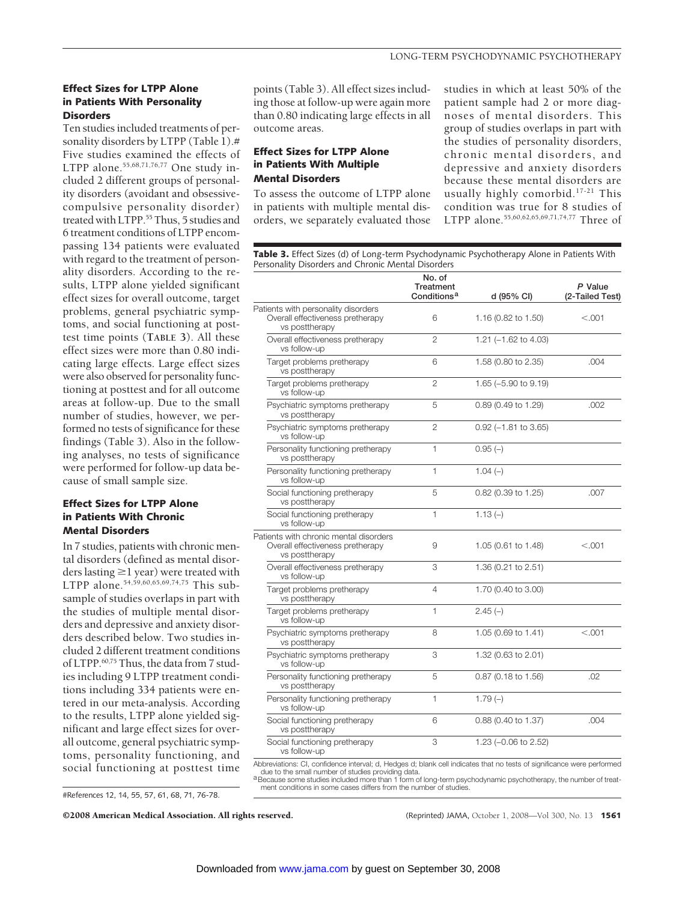# **Effect Sizes for LTPP Alone in Patients With Personality Disorders**

Ten studies included treatments of personality disorders by LTPP (Table 1).# Five studies examined the effects of LTPP alone.<sup>55,68,71,76,77</sup> One study included 2 different groups of personality disorders (avoidant and obsessivecompulsive personality disorder) treated with LTPP.<sup>55</sup> Thus, 5 studies and 6 treatment conditions of LTPP encompassing 134 patients were evaluated with regard to the treatment of personality disorders. According to the results, LTPP alone yielded significant effect sizes for overall outcome, target problems, general psychiatric symptoms, and social functioning at posttest time points (**TABLE 3**). All these effect sizes were more than 0.80 indicating large effects. Large effect sizes were also observed for personality functioning at posttest and for all outcome areas at follow-up. Due to the small number of studies, however, we performed no tests of significance for these findings (Table 3). Also in the following analyses, no tests of significance were performed for follow-up data because of small sample size.

# **Effect Sizes for LTPP Alone in Patients With Chronic Mental Disorders**

In 7 studies, patients with chronic mental disorders (defined as mental disorders lasting  $\geq 1$  year) were treated with LTPP alone.54,59,60,65,69,74,75 This subsample of studies overlaps in part with the studies of multiple mental disorders and depressive and anxiety disorders described below. Two studies included 2 different treatment conditions of LTPP.<sup>60,75</sup> Thus, the data from 7 studies including 9 LTPP treatment conditions including 334 patients were entered in our meta-analysis. According to the results, LTPP alone yielded significant and large effect sizes for overall outcome, general psychiatric symptoms, personality functioning, and social functioning at posttest time points (Table 3). All effect sizes including those at follow-up were again more than 0.80 indicating large effects in all outcome areas.

## **Effect Sizes for LTPP Alone in Patients With Multiple Mental Disorders**

To assess the outcome of LTPP alone in patients with multiple mental disorders, we separately evaluated those studies in which at least 50% of the patient sample had 2 or more diagnoses of mental disorders. This group of studies overlaps in part with the studies of personality disorders, chronic mental disorders, and depressive and anxiety disorders because these mental disorders are usually highly comorbid.17-21 This condition was true for 8 studies of LTPP alone.<sup>55,60,62,65,69,71,74,77</sup> Three of

**Table 3.** Effect Sizes (d) of Long-term Psychodynamic Psychotherapy Alone in Patients With Personality Disorders and Chronic Mental Disorders

|                                                                                              | No. of<br><b>Treatment</b><br>Conditions <sup>a</sup> | d (95% CI)             | P Value<br>(2-Tailed Test) |
|----------------------------------------------------------------------------------------------|-------------------------------------------------------|------------------------|----------------------------|
| Patients with personality disorders<br>Overall effectiveness pretherapy<br>vs posttherapy    | 6                                                     | 1.16 (0.82 to 1.50)    | < 0.001                    |
| Overall effectiveness pretherapy<br>vs follow-up                                             | $\overline{2}$                                        | 1.21 $(-1.62$ to 4.03) |                            |
| Target problems pretherapy<br>vs posttherapy                                                 | 6                                                     | 1.58 (0.80 to 2.35)    | .004                       |
| Target problems pretherapy<br>vs follow-up                                                   | $\overline{2}$                                        | 1.65 (-5.90 to 9.19)   |                            |
| Psychiatric symptoms pretherapy<br>vs posttherapy                                            | 5                                                     | 0.89 (0.49 to 1.29)    | .002                       |
| Psychiatric symptoms pretherapy<br>vs follow-up                                              | $\overline{2}$                                        | $0.92$ (-1.81 to 3.65) |                            |
| Personality functioning pretherapy<br>vs posttherapy                                         | $\mathbf{1}$                                          | $0.95(-)$              |                            |
| Personality functioning pretherapy<br>vs follow-up                                           | 1                                                     | $1.04(-)$              |                            |
| Social functioning pretherapy<br>vs posttherapy                                              | 5                                                     | 0.82 (0.39 to 1.25)    | .007                       |
| Social functioning pretherapy<br>vs follow-up                                                | 1                                                     | $1.13(-)$              |                            |
| Patients with chronic mental disorders<br>Overall effectiveness pretherapy<br>vs posttherapy | 9                                                     | 1.05 (0.61 to 1.48)    | < 0.001                    |
| Overall effectiveness pretherapy<br>vs follow-up                                             | 3                                                     | 1.36 (0.21 to 2.51)    |                            |
| Target problems pretherapy<br>vs posttherapy                                                 | 4                                                     | 1.70 (0.40 to 3.00)    |                            |
| Target problems pretherapy<br>vs follow-up                                                   | 1                                                     | $2.45(-)$              |                            |
| Psychiatric symptoms pretherapy<br>vs posttherapy                                            | 8                                                     | 1.05 (0.69 to 1.41)    | < 0.001                    |
| Psychiatric symptoms pretherapy<br>vs follow-up                                              | 3                                                     | 1.32 (0.63 to 2.01)    |                            |
| Personality functioning pretherapy<br>vs posttherapy                                         | 5                                                     | 0.87 (0.18 to 1.56)    | .02                        |
| Personality functioning pretherapy<br>vs follow-up                                           | 1                                                     | $1.79(-)$              |                            |
| Social functioning pretherapy<br>vs posttherapy                                              | 6                                                     | 0.88 (0.40 to 1.37)    | .004                       |
| Social functioning pretherapy<br>vs follow-up                                                | 3                                                     | 1.23 (-0.06 to 2.52)   |                            |

Abbreviations: CI, confidence interval; d, Hedges d; blank cell indicates that no tests of significance were performed

due to the small number of studies providing data.<br><sup>4</sup> Because some studies included more than 1 form of long-term psychodynamic psychotherapy, the number of treat-<br>ment conditions in some cases differs from the number of

#References 12, 14, 55, 57, 61, 68, 71, 76-78.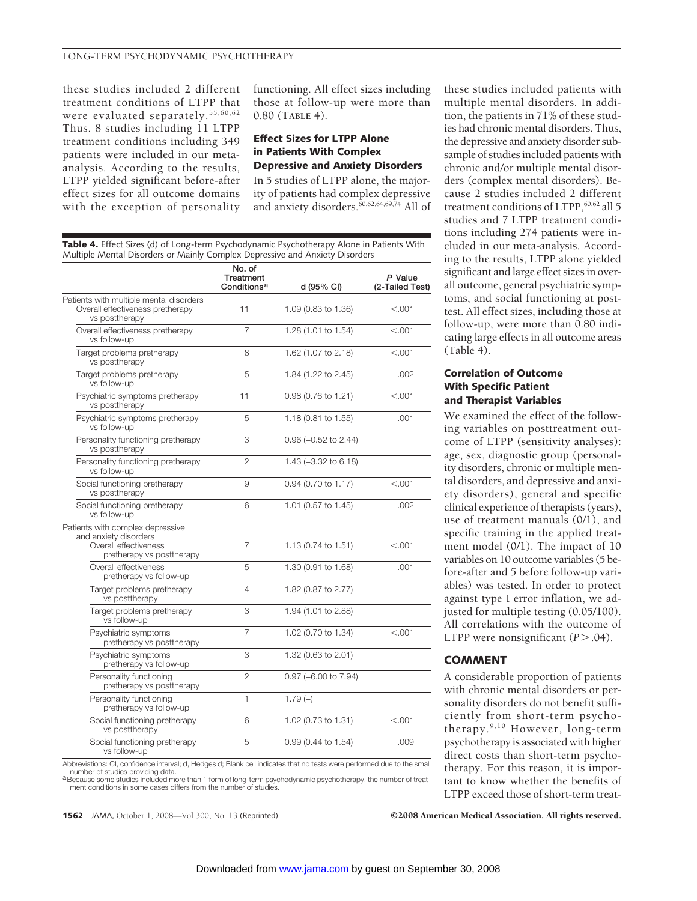these studies included 2 different treatment conditions of LTPP that were evaluated separately.<sup>55,60,62</sup> Thus, 8 studies including 11 LTPP treatment conditions including 349 patients were included in our metaanalysis. According to the results, LTPP yielded significant before-after effect sizes for all outcome domains with the exception of personality functioning. All effect sizes including those at follow-up were more than 0.80 (**TABLE 4**).

# **Effect Sizes for LTPP Alone in Patients With Complex Depressive and Anxiety Disorders**

In 5 studies of LTPP alone, the majority of patients had complex depressive and anxiety disorders.<sup>60,62,64,69,74</sup> All of

|                                                                                                                 | No. of                                      |                           |                            |
|-----------------------------------------------------------------------------------------------------------------|---------------------------------------------|---------------------------|----------------------------|
|                                                                                                                 | <b>Treatment</b><br>Conditions <sup>a</sup> | d (95% CI)                | P Value<br>(2-Tailed Test) |
| Patients with multiple mental disorders<br>Overall effectiveness pretherapy<br>vs posttherapy                   | 11                                          | 1.09 (0.83 to 1.36)       | < 0.001                    |
| Overall effectiveness pretherapy<br>vs follow-up                                                                | 7                                           | 1.28 (1.01 to 1.54)       | < 0.001                    |
| Target problems pretherapy<br>vs posttherapy                                                                    | 8                                           | 1.62 (1.07 to 2.18)       | < 0.01                     |
| Target problems pretherapy<br>vs follow-up                                                                      | 5                                           | 1.84 (1.22 to 2.45)       | .002                       |
| Psychiatric symptoms pretherapy<br>vs posttherapy                                                               | 11                                          | 0.98 (0.76 to 1.21)       | < 0.001                    |
| Psychiatric symptoms pretherapy<br>vs follow-up                                                                 | 5                                           | 1.18 (0.81 to 1.55)       | .001                       |
| Personality functioning pretherapy<br>vs posttherapy                                                            | 3                                           | $0.96$ ( $-0.52$ to 2.44) |                            |
| Personality functioning pretherapy<br>vs follow-up                                                              | $\overline{2}$                              | 1.43 (-3.32 to 6.18)      |                            |
| Social functioning pretherapy<br>vs posttherapy                                                                 | 9                                           | 0.94 (0.70 to 1.17)       | < .001                     |
| Social functioning pretherapy<br>vs follow-up                                                                   | 6                                           | 1.01 (0.57 to 1.45)       | .002                       |
| Patients with complex depressive<br>and anxiety disorders<br>Overall effectiveness<br>pretherapy vs posttherapy | 7                                           | 1.13 (0.74 to 1.51)       | < 0.001                    |
| Overall effectiveness<br>pretherapy vs follow-up                                                                | 5                                           | 1.30 (0.91 to 1.68)       | .001                       |
| Target problems pretherapy<br>vs posttherapy                                                                    | 4                                           | 1.82 (0.87 to 2.77)       |                            |
| Target problems pretherapy<br>vs follow-up                                                                      | 3                                           | 1.94 (1.01 to 2.88)       |                            |
| Psychiatric symptoms<br>pretherapy vs posttherapy                                                               | $\overline{7}$                              | 1.02 (0.70 to 1.34)       | < 0.001                    |
| Psychiatric symptoms<br>pretherapy vs follow-up                                                                 | 3                                           | 1.32 (0.63 to 2.01)       |                            |
| Personality functioning<br>pretherapy vs posttherapy                                                            | $\overline{2}$                              | $0.97$ (-6.00 to $7.94$ ) |                            |
| Personality functioning<br>pretherapy vs follow-up                                                              | $\mathbf{1}$                                | $1.79(-)$                 |                            |
| Social functioning pretherapy<br>vs posttherapy                                                                 | 6                                           | 1.02 (0.73 to 1.31)       | < 0.001                    |
| Social functioning pretherapy<br>vs follow-up                                                                   | 5                                           | 0.99 (0.44 to 1.54)       | .009                       |

**Table 4.** Effect Sizes (d) of Long-term Psychodynamic Psychotherapy Alone in Patients With

these studies included patients with multiple mental disorders. In addition, the patients in 71% of these studies had chronic mental disorders. Thus, the depressive and anxiety disorder subsample of studies included patients with chronic and/or multiple mental disorders (complex mental disorders). Because 2 studies included 2 different treatment conditions of LTPP,  $60,62$  all 5 studies and 7 LTPP treatment conditions including 274 patients were included in our meta-analysis. According to the results, LTPP alone yielded significant and large effect sizes in overall outcome, general psychiatric symptoms, and social functioning at posttest. All effect sizes, including those at follow-up, were more than 0.80 indicating large effects in all outcome areas (Table 4).

# **Correlation of Outcome With Specific Patient and Therapist Variables**

We examined the effect of the following variables on posttreatment outcome of LTPP (sensitivity analyses): age, sex, diagnostic group (personality disorders, chronic or multiple mental disorders, and depressive and anxiety disorders), general and specific clinical experience of therapists (years), use of treatment manuals (0/1), and specific training in the applied treatment model (0/1). The impact of 10 variables on 10 outcome variables (5 before-after and 5 before follow-up variables) was tested. In order to protect against type I error inflation, we adjusted for multiple testing (0.05/100). All correlations with the outcome of LTPP were nonsignificant  $(P > .04)$ .

# **COMMENT**

A considerable proportion of patients with chronic mental disorders or personality disorders do not benefit sufficiently from short-term psychotherapy. 9,10 However, long-term psychotherapy is associated with higher direct costs than short-term psychotherapy. For this reason, it is important to know whether the benefits of LTPP exceed those of short-term treat-

Abbreviations: CI, confidence interval; d, Hedges d; Blank cell indicates that no tests were performed due to the small number of studies providing data.<br><sup>a</sup> Because some studies included more than 1 form of long-term psychodynamic psychotherapy, the number of treat-<br>ment conditions in some cases differs from the number of studies.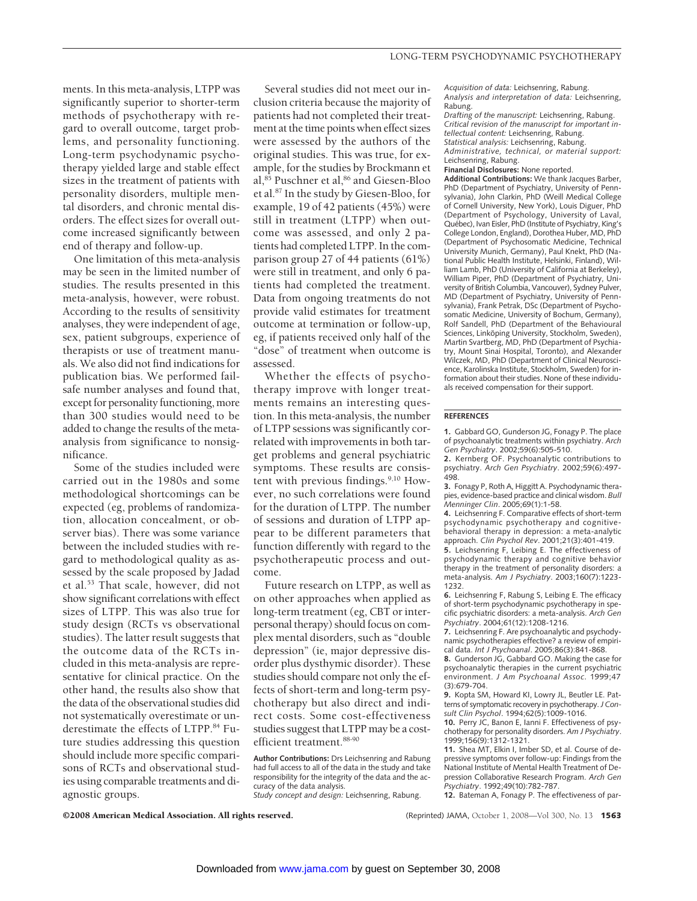**Financial Disclosures:** None reported.

Rabung.

Leichsenring, Rabung.

**REFERENCES**

498.

1232.

*Acquisition of data:* Leichsenring, Rabung. *Analysis and interpretation of data:* Leichsenring,

*Drafting of the manuscript:* Leichsenring, Rabung. *Critical revision of the manuscript for important intellectual content:* Leichsenring, Rabung. *Statistical analysis:* Leichsenring, Rabung. *Administrative, technical, or material support:*

**Additional Contributions:** We thank Jacques Barber, PhD (Department of Psychiatry, University of Pennsylvania), John Clarkin, PhD (Weill Medical College of Cornell University, New York), Louis Diguer, PhD (Department of Psychology, University of Laval, Québec), Ivan Eisler, PhD (Institute of Psychiatry, King's College London, England), Dorothea Huber, MD, PhD (Department of Psychosomatic Medicine, Technical University Munich, Germany), Paul Knekt, PhD (National Public Health Institute, Helsinki, Finland), William Lamb, PhD (University of California at Berkeley), William Piper, PhD (Department of Psychiatry, University of British Columbia, Vancouver), Sydney Pulver, MD (Department of Psychiatry, University of Pennsylvania), Frank Petrak, DSc (Department of Psychosomatic Medicine, University of Bochum, Germany), Rolf Sandell, PhD (Department of the Behavioural Sciences, Linköping University, Stockholm, Sweden), Martin Svartberg, MD, PhD (Department of Psychiatry, Mount Sinai Hospital, Toronto), and Alexander Wilczek, MD, PhD (Department of Clinical Neuroscience, Karolinska Institute, Stockholm, Sweden) for information about their studies. None of these individuals received compensation for their support.

ments. In this meta-analysis, LTPP was significantly superior to shorter-term methods of psychotherapy with regard to overall outcome, target problems, and personality functioning. Long-term psychodynamic psychotherapy yielded large and stable effect sizes in the treatment of patients with personality disorders, multiple mental disorders, and chronic mental disorders. The effect sizes for overall outcome increased significantly between end of therapy and follow-up.

One limitation of this meta-analysis may be seen in the limited number of studies. The results presented in this meta-analysis, however, were robust. According to the results of sensitivity analyses, they were independent of age, sex, patient subgroups, experience of therapists or use of treatment manuals. We also did not find indications for publication bias. We performed failsafe number analyses and found that, except for personality functioning, more than 300 studies would need to be added to change the results of the metaanalysis from significance to nonsignificance.

Some of the studies included were carried out in the 1980s and some methodological shortcomings can be expected (eg, problems of randomization, allocation concealment, or observer bias). There was some variance between the included studies with regard to methodological quality as assessed by the scale proposed by Jadad et al.53 That scale, however, did not show significant correlations with effect sizes of LTPP. This was also true for study design (RCTs vs observational studies). The latter result suggests that the outcome data of the RCTs included in this meta-analysis are representative for clinical practice. On the other hand, the results also show that the data of the observational studies did not systematically overestimate or underestimate the effects of LTPP.84 Future studies addressing this question should include more specific comparisons of RCTs and observational studies using comparable treatments and diagnostic groups.

Several studies did not meet our inclusion criteria because the majority of patients had not completed their treatment at the time points when effect sizes were assessed by the authors of the original studies. This was true, for example, for the studies by Brockmann et al, 85 Puschner et al, 86 and Giesen-Bloo et al.87 In the study by Giesen-Bloo, for example, 19 of 42 patients (45%) were still in treatment (LTPP) when outcome was assessed, and only 2 patients had completed LTPP. In the comparison group 27 of 44 patients (61%) were still in treatment, and only 6 patients had completed the treatment. Data from ongoing treatments do not provide valid estimates for treatment outcome at termination or follow-up, eg, if patients received only half of the "dose" of treatment when outcome is assessed.

Whether the effects of psychotherapy improve with longer treatments remains an interesting question. In this meta-analysis, the number of LTPP sessions was significantly correlated with improvements in both target problems and general psychiatric symptoms. These results are consistent with previous findings.<sup>9,10</sup> However, no such correlations were found for the duration of LTPP. The number of sessions and duration of LTPP appear to be different parameters that function differently with regard to the psychotherapeutic process and outcome.

Future research on LTPP, as well as on other approaches when applied as long-term treatment (eg, CBT or interpersonal therapy) should focus on complex mental disorders, such as "double depression" (ie, major depressive disorder plus dysthymic disorder). These studies should compare not only the effects of short-term and long-term psychotherapy but also direct and indirect costs. Some cost-effectiveness studies suggest that LTPP may be a costefficient treatment.<sup>88-90</sup>

**Author Contributions:** Drs Leichsenring and Rabung had full access to all of the data in the study and take responsibility for the integrity of the data and the accuracy of the data analysis. *Study concept and design:* Leichsenring, Rabung.

meta-analysis. *Am J Psychiatry*. 2003;160(7):1223-

**6.** Leichsenring F, Rabung S, Leibing E. The efficacy of short-term psychodynamic psychotherapy in specific psychiatric disorders: a meta-analysis. *Arch Gen Psychiatry*. 2004;61(12):1208-1216.

**1.** Gabbard GO, Gunderson JG, Fonagy P. The place of psychoanalytic treatments within psychiatry. *Arch*

**2.** Kernberg OF. Psychoanalytic contributions to psychiatry. *Arch Gen Psychiatry*. 2002;59(6):497-

**3.** Fonagy P, Roth A, Higgitt A. Psychodynamic therapies, evidence-based practice and clinical wisdom. *Bull*

**4.** Leichsenring F. Comparative effects of short-term psychodynamic psychotherapy and cognitivebehavioral therapy in depression: a meta-analytic approach. *Clin Psychol Rev*. 2001;21(3):401-419. **5.** Leichsenring F, Leibing E. The effectiveness of psychodynamic therapy and cognitive behavior therapy in the treatment of personality disorders: a

*Gen Psychiatry*. 2002;59(6):505-510.

*Menninger Clin*. 2005;69(1):1-58.

**7.** Leichsenring F. Are psychoanalytic and psychodynamic psychotherapies effective? a review of empirical data. *Int J Psychoanal*. 2005;86(3):841-868.

**8.** Gunderson JG, Gabbard GO. Making the case for psychoanalytic therapies in the current psychiatric environment. *J Am Psychoanal Assoc*. 1999;47 (3):679-704.

**9.** Kopta SM, Howard KI, Lowry JL, Beutler LE. Patterns of symptomatic recovery in psychotherapy.*J Consult Clin Psychol*. 1994;62(5):1009-1016.

**10.** Perry JC, Banon E, Ianni F. Effectiveness of psychotherapy for personality disorders. *Am J Psychiatry*. 1999;156(9):1312-1321.

**11.** Shea MT, Elkin I, Imber SD, et al. Course of depressive symptoms over follow-up: Findings from the National Institute of Mental Health Treatment of Depression Collaborative Research Program. *Arch Gen Psychiatry*. 1992;49(10):782-787.

**12.** Bateman A, Fonagy P. The effectiveness of par-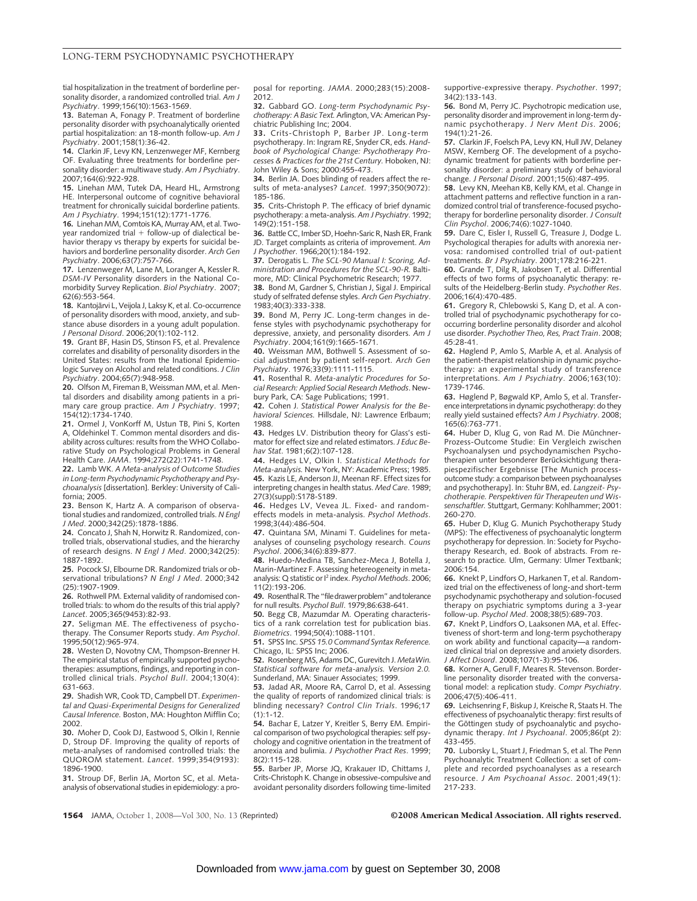tial hospitalization in the treatment of borderline personality disorder, a randomized controlled trial. *Am J Psychiatry*. 1999;156(10):1563-1569.

**13.** Bateman A, Fonagy P. Treatment of borderline personality disorder with psychoanalytically oriented partial hospitalization: an 18-month follow-up. *Am J Psychiatry*. 2001;158(1):36-42.

**14.** Clarkin JF, Levy KN, Lenzenweger MF, Kernberg OF. Evaluating three treatments for borderline personality disorder: a multiwave study. *Am J Psychiatry*. 2007;164(6):922-928.

**15.** Linehan MM, Tutek DA, Heard HL, Armstrong HE. Interpersonal outcome of cognitive behavioral treatment for chronically suicidal borderline patients. *Am J Psychiatry*. 1994;151(12):1771-1776.

**16.** Linehan MM, Comtois KA, Murray AM, et al. Twoyear randomized trial  $+$  follow-up of dialectical behavior therapy vs therapy by experts for suicidal behaviors and borderline personality disorder. *Arch Gen Psychiatry*. 2006;63(7):757-766.

**17.** Lenzenweger M, Lane M, Loranger A, Kessler R. *DSM-IV* Personality disorders in the National Comorbidity Survey Replication. *Biol Psychiatry*. 2007; 62(6):553-564.

**18.** Kantojärvi L, Veijola J, Laksy K, et al. Co-occurrence of personality disorders with mood, anxiety, and substance abuse disorders in a young adult population. *J Personal Disord*. 2006;20(1):102-112.

**19.** Grant BF, Hasin DS, Stinson FS, et al. Prevalence correlates and disability of personality disorders in the United States: results from the Inational Epidemiologic Survey on Alcohol and related conditions. *J Clin Psychiatry*. 2004;65(7):948-958.

**20.** Olfson M, Fireman B, Weissman MM, et al. Mental disorders and disability among patients in a primary care group practice. *Am J Psychiatry*. 1997; 154(12):1734-1740.

**21.** Ormel J, VonKorff M, Ustun TB, Pini S, Korten A, Oldehinkel T. Common mental disorders and disability across cultures: results from the WHO Collaborative Study on Psychological Problems in General Health Care. *JAMA*. 1994;272(22):1741-1748.

**22.** Lamb WK. *A Meta-analysis of Outcome Studies in Long-term Psychodynamic Psychotherapy and Psychoanalysis* [dissertation]*.* Berkley: University of California; 2005.

**23.** Benson K, Hartz A. A comparison of observational studies and randomized, controlled trials. *N Engl J Med*. 2000;342(25):1878-1886.

**24.** Concato J, Shah N, Horwitz R. Randomized, controlled trials, observational studies, and the hierarchy of research designs. *N Engl J Med*. 2000;342(25): 1887-1892.

**25.** Pocock SJ, Elbourne DR. Randomized trials or observational tribulations? *N Engl J Med*. 2000;342 (25):1907-1909.

**26.** Rothwell PM. External validity of randomised controlled trials: to whom do the results of this trial apply? *Lancet*. 2005;365(9453):82-93.

**27.** Seligman ME. The effectiveness of psychotherapy. The Consumer Reports study. *Am Psychol*. 1995;50(12):965-974.

**28.** Westen D, Novotny CM, Thompson-Brenner H. The empirical status of empirically supported psychotherapies: assumptions, findings, and reporting in controlled clinical trials. *Psychol Bull*. 2004;130(4): 631-663.

**29.** Shadish WR, Cook TD, Campbell DT. *Experimental and Quasi-Experimental Designs for Generalized Causal Inference.* Boston, MA: Houghton Mifflin Co; 2002.

**30.** Moher D, Cook DJ, Eastwood S, Olkin I, Rennie D, Stroup DF. Improving the quality of reports of meta-analyses of randomised controlled trials: the QUOROM statement. *Lancet*. 1999;354(9193): 1896-1900.

**31.** Stroup DF, Berlin JA, Morton SC, et al. Metaanalysis of observational studies in epidemiology: a proposal for reporting. *JAMA*. 2000;283(15):2008- 2012.

**32.** Gabbard GO. *Long-term Psychodynamic Psy-chotherapy: A Basic Text.* Arlington, VA: American Psychiatric Publishing Inc; 2004.

**33.** Crits-Christoph P, Barber JP. Long-term psychotherapy. In: Ingram RE, Snyder CR, eds. *Handbook of Psychological Change: Psychotherapy Processes & Practices for the 21st Century.* Hoboken, NJ: John Wiley & Sons; 2000:455-473.

**34.** Berlin JA. Does blinding of readers affect the results of meta-analyses? *Lancet*. 1997;350(9072): 185-186.

**35.** Crits-Christoph P. The efficacy of brief dynamic psychotherapy: a meta-analysis.*Am J Psychiatry*. 1992; 149(2):151-158.

**36.** Battle CC, Imber SD, Hoehn-Saric R, Nash ER, Frank JD. Target complaints as criteria of improvement. *Am J Psychother*. 1966;20(1):184-192.

**37.** Derogatis L. *The SCL-90 Manual I: Scoring, Administration and Procedures for the SCL-90-R.* Baltimore, MD: Clinical Psychometric Research; 1977.

**38.** Bond M, Gardner S, Christian J, Sigal J. Empirical study of selfrated defense styles. *Arch Gen Psychiatry*. 1983;40(3):333-338.

**39.** Bond M, Perry JC. Long-term changes in defense styles with psychodynamic psychotherapy for depressive, anxiety, and personality disorders. *Am J Psychiatry*. 2004;161(9):1665-1671.

**40.** Weissman MM, Bothwell S. Assessment of social adjustment by patient self-report. *Arch Gen Psychiatry*. 1976;33(9):1111-1115.

**41.** Rosenthal R. *Meta-analytic Procedures for Social Research: Applied Social Research Methods*. Newbury Park, CA: Sage Publications; 1991.

**42.** Cohen J. *Statistical Power Analysis for the Behavioral Sciences.* Hillsdale, NJ: Lawrence Erlbaum; 1988.

**43.** Hedges LV. Distribution theory for Glass's estimator for effect size and related estimators.*J Educ Behav Stat*. 1981;6(2):107-128.

**44.** Hedges LV, Olkin I. *Statistical Methods for Meta-analysis.* New York, NY: Academic Press; 1985. **45.** Kazis LE, Anderson JJ, Meenan RF. Effect sizes for interpreting changes in health status. *Med Care*. 1989; 27(3)(suppl):S178-S189.

**46.** Hedges LV, Vevea JL. Fixed- and randomeffects models in meta-analysis. *Psychol Methods*. 1998;3(44):486-504.

**47.** Quintana SM, Minami T. Guidelines for metaanalyses of counseling psychology research. *Couns Psychol*. 2006;34(6):839-877.

**48.** Huedo-Medina TB, Sanchez-Meca J, Botella J, Marin-Martinez F. Assessing hetereogeneity in metaanalysis: Q statistic or I2 index. *Psychol Methods*. 2006; 11(2):193-206.

**49.** RosenthalR.The"filedrawerproblem"and tolerance for null results. *Psychol Bull*. 1979;86:638-641.

**50.** Begg CB, Mazumdar M. Operating characteristics of a rank correlation test for publication bias. *Biometrics*. 1994;50(4):1088-1101.

**51.** SPSS Inc. *SPSS 15.0 Command Syntax Reference.* Chicago, IL: SPSS Inc; 2006.

**52.** Rosenberg MS, Adams DC, Gurevitch J. *MetaWin. Statistical software for meta-analysis. Version 2.0.* Sunderland, MA: Sinauer Associates; 1999.

**53.** Jadad AR, Moore RA, Carrol D, et al. Assessing the quality of reports of randomized clinical trials: is blinding necessary? *Control Clin Trials*. 1996;17  $(1):1-12.$ 

**54.** Bachar E, Latzer Y, Kreitler S, Berry EM. Empirical comparison of two psychological therapies: self psychology and cognitive orientation in the treatment of anorexia and bulimia. *J Psychother Pract Res*. 1999; 8(2):115-128.

**55.** Barber JP, Morse JQ, Krakauer ID, Chittams J, Crits-Christoph K. Change in obsessive-compulsive and avoidant personality disorders following time-limited supportive-expressive therapy. *Psychother*. 1997; 34(2):133-143.

**56.** Bond M, Perry JC. Psychotropic medication use, personality disorder and improvement in long-term dynamic psychotherapy. *J Nerv Ment Dis*. 2006; 194(1):21-26.

**57.** Clarkin JF, Foelsch PA, Levy KN, Hull JW, Delaney MSW, Kernberg OF. The development of a psychodynamic treatment for patients with borderline personality disorder: a preliminary study of behavioral change. *J Personal Disord*. 2001;15(6):487-495.

**58.** Levy KN, Meehan KB, Kelly KM, et al. Change in attachment patterns and reflective function in a randomized control trial of transference-focused psychotherapy for borderline personality disorder. *J Consult Clin Psychol*. 2006;74(6):1027-1040.

**59.** Dare C, Eisler I, Russell G, Treasure J, Dodge L. Psychological therapies for adults with anorexia nervosa: randomised controlled trial of out-patient treatments. *Br J Psychiatry*. 2001;178:216-221.

**60.** Grande T, Dilg R, Jakobsen T, et al. Differential effects of two forms of psychoanalytic therapy: results of the Heidelberg-Berlin study. *Psychother Res*. 2006;16(4):470-485.

**61.** Gregory R, Chlebowski S, Kang D, et al. A controlled trial of psychodynamic psychotherapy for cooccurring borderline personality disorder and alcohol use disorder. *Psychother Theo, Res, Pract Train*. 2008; 45:28-41.

**62.** Høglend P, Amlo S, Marble A, et al. Analysis of the patient-therapist relationship in dynamic psychotherapy: an experimental study of transference interpretations. *Am J Psychiatry*. 2006;163(10): 1739-1746.

**63.** Høglend P, Bøgwald KP, Amlo S, et al. Transference interpretations in dynamic psychotherapy: do they really yield sustained effects? *Am J Psychiatry*. 2008; 165(6):763-771.

**64.** Huber D, Klug G, von Rad M. Die Münchner-Prozess-Outcome Studie: Ein Vergleich zwischen Psychoanalysen und psychodynamischen Psychotherapien unter besonderer Berücksichtigung therapiespezifischer Ergebnisse [The Munich processoutcome study: a comparison between psychoanalyses and psychotherapy]. In: Stuhr BM, ed. *Langzeit- Psychotherapie. Perspektiven für Therapeuten und Wissenschaftler.* Stuttgart, Germany: Kohlhammer; 2001: 260-270.

**65.** Huber D, Klug G. Munich Psychotherapy Study (MPS): The effectiveness of psychoanalytic longterm psychotherapy for depression. In: Society for Psychotherapy Research, ed. Book of abstracts. From research to practice*.* Ulm, Germany: Ulmer Textbank; 2006:154.

**66.** Knekt P, Lindfors O, Harkanen T, et al. Randomized trial on the effectiveness of long-and short-term psychodynamic psychotherapy and solution-focused therapy on psychiatric symptoms during a 3-year follow-up. *Psychol Med*. 2008;38(5):689-703.

**67.** Knekt P, Lindfors O, Laaksonen MA, et al. Effectiveness of short-term and long-term psychotherapy on work ability and functional capacity—a randomized clinical trial on depressive and anxiety disorders. *J Affect Disord*. 2008;107(1-3):95-106.

**68.** Korner A, Gerull F, Meares R. Stevenson. Borderline personality disorder treated with the conversational model: a replication study. *Compr Psychiatry*. 2006;47(5):406-411.

**69.** Leichsenring F, Biskup J, Kreische R, Staats H. The effectiveness of psychoanalytic therapy: first results of the Göttingen study of psychoanalytic and psychodynamic therapy. *Int J Psychoanal*. 2005;86(pt 2): 433-455.

**70.** Luborsky L, Stuart J, Friedman S, et al. The Penn Psychoanalytic Treatment Collection: a set of complete and recorded psychoanalyses as a research resource. *J Am Psychoanal Assoc*. 2001;49(1): 217-233.